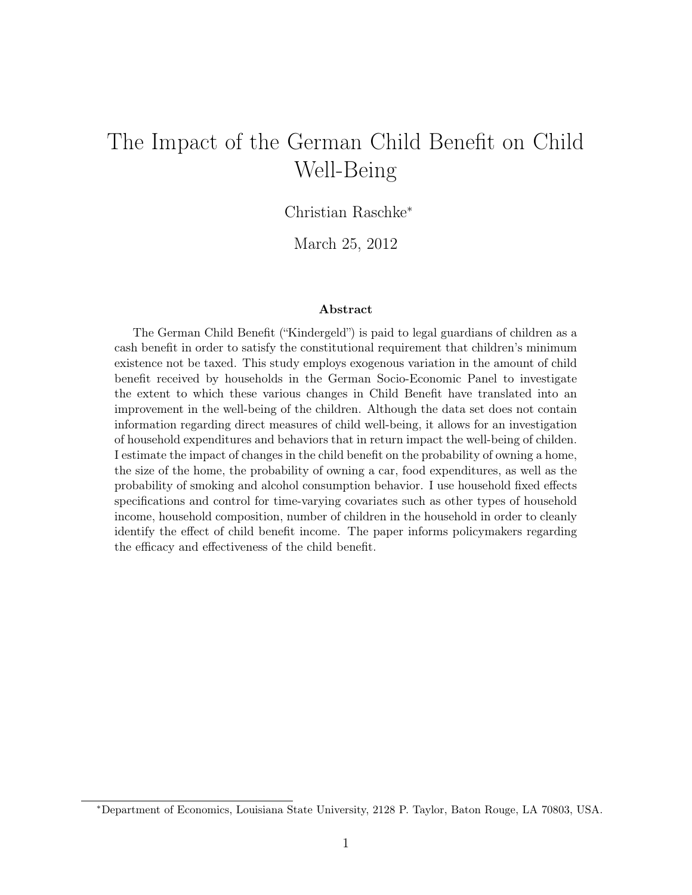# The Impact of the German Child Benefit on Child Well-Being

Christian Raschke<sup>∗</sup>

March 25, 2012

#### Abstract

The German Child Benefit ("Kindergeld") is paid to legal guardians of children as a cash benefit in order to satisfy the constitutional requirement that children's minimum existence not be taxed. This study employs exogenous variation in the amount of child benefit received by households in the German Socio-Economic Panel to investigate the extent to which these various changes in Child Benefit have translated into an improvement in the well-being of the children. Although the data set does not contain information regarding direct measures of child well-being, it allows for an investigation of household expenditures and behaviors that in return impact the well-being of childen. I estimate the impact of changes in the child benefit on the probability of owning a home, the size of the home, the probability of owning a car, food expenditures, as well as the probability of smoking and alcohol consumption behavior. I use household fixed effects specifications and control for time-varying covariates such as other types of household income, household composition, number of children in the household in order to cleanly identify the effect of child benefit income. The paper informs policymakers regarding the efficacy and effectiveness of the child benefit.

<sup>∗</sup>Department of Economics, Louisiana State University, 2128 P. Taylor, Baton Rouge, LA 70803, USA.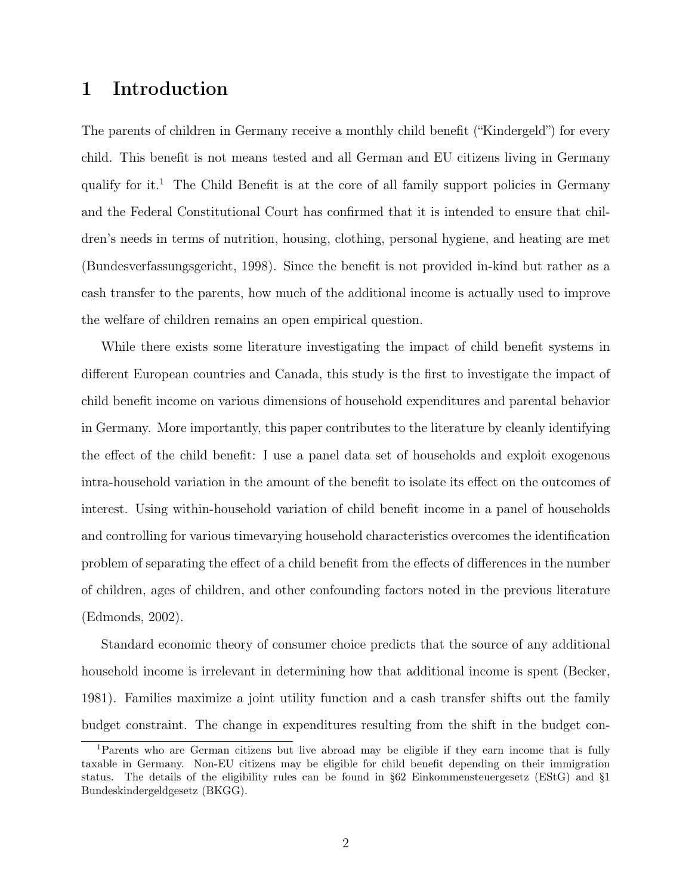## 1 Introduction

The parents of children in Germany receive a monthly child benefit ("Kindergeld") for every child. This benefit is not means tested and all German and EU citizens living in Germany qualify for it.<sup>1</sup> The Child Benefit is at the core of all family support policies in Germany and the Federal Constitutional Court has confirmed that it is intended to ensure that children's needs in terms of nutrition, housing, clothing, personal hygiene, and heating are met (Bundesverfassungsgericht, 1998). Since the benefit is not provided in-kind but rather as a cash transfer to the parents, how much of the additional income is actually used to improve the welfare of children remains an open empirical question.

While there exists some literature investigating the impact of child benefit systems in different European countries and Canada, this study is the first to investigate the impact of child benefit income on various dimensions of household expenditures and parental behavior in Germany. More importantly, this paper contributes to the literature by cleanly identifying the effect of the child benefit: I use a panel data set of households and exploit exogenous intra-household variation in the amount of the benefit to isolate its effect on the outcomes of interest. Using within-household variation of child benefit income in a panel of households and controlling for various timevarying household characteristics overcomes the identification problem of separating the effect of a child benefit from the effects of differences in the number of children, ages of children, and other confounding factors noted in the previous literature (Edmonds, 2002).

Standard economic theory of consumer choice predicts that the source of any additional household income is irrelevant in determining how that additional income is spent (Becker, 1981). Families maximize a joint utility function and a cash transfer shifts out the family budget constraint. The change in expenditures resulting from the shift in the budget con-

<sup>1</sup>Parents who are German citizens but live abroad may be eligible if they earn income that is fully taxable in Germany. Non-EU citizens may be eligible for child benefit depending on their immigration status. The details of the eligibility rules can be found in §62 Einkommensteuergesetz (EStG) and §1 Bundeskindergeldgesetz (BKGG).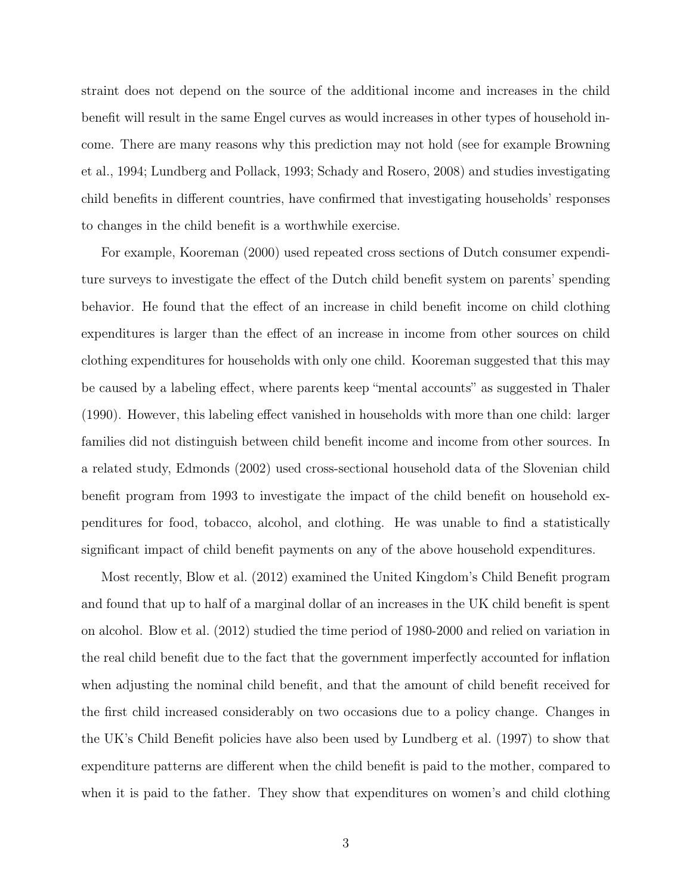straint does not depend on the source of the additional income and increases in the child benefit will result in the same Engel curves as would increases in other types of household income. There are many reasons why this prediction may not hold (see for example Browning et al., 1994; Lundberg and Pollack, 1993; Schady and Rosero, 2008) and studies investigating child benefits in different countries, have confirmed that investigating households' responses to changes in the child benefit is a worthwhile exercise.

For example, Kooreman (2000) used repeated cross sections of Dutch consumer expenditure surveys to investigate the effect of the Dutch child benefit system on parents' spending behavior. He found that the effect of an increase in child benefit income on child clothing expenditures is larger than the effect of an increase in income from other sources on child clothing expenditures for households with only one child. Kooreman suggested that this may be caused by a labeling effect, where parents keep "mental accounts" as suggested in Thaler (1990). However, this labeling effect vanished in households with more than one child: larger families did not distinguish between child benefit income and income from other sources. In a related study, Edmonds (2002) used cross-sectional household data of the Slovenian child benefit program from 1993 to investigate the impact of the child benefit on household expenditures for food, tobacco, alcohol, and clothing. He was unable to find a statistically significant impact of child benefit payments on any of the above household expenditures.

Most recently, Blow et al. (2012) examined the United Kingdom's Child Benefit program and found that up to half of a marginal dollar of an increases in the UK child benefit is spent on alcohol. Blow et al. (2012) studied the time period of 1980-2000 and relied on variation in the real child benefit due to the fact that the government imperfectly accounted for inflation when adjusting the nominal child benefit, and that the amount of child benefit received for the first child increased considerably on two occasions due to a policy change. Changes in the UK's Child Benefit policies have also been used by Lundberg et al. (1997) to show that expenditure patterns are different when the child benefit is paid to the mother, compared to when it is paid to the father. They show that expenditures on women's and child clothing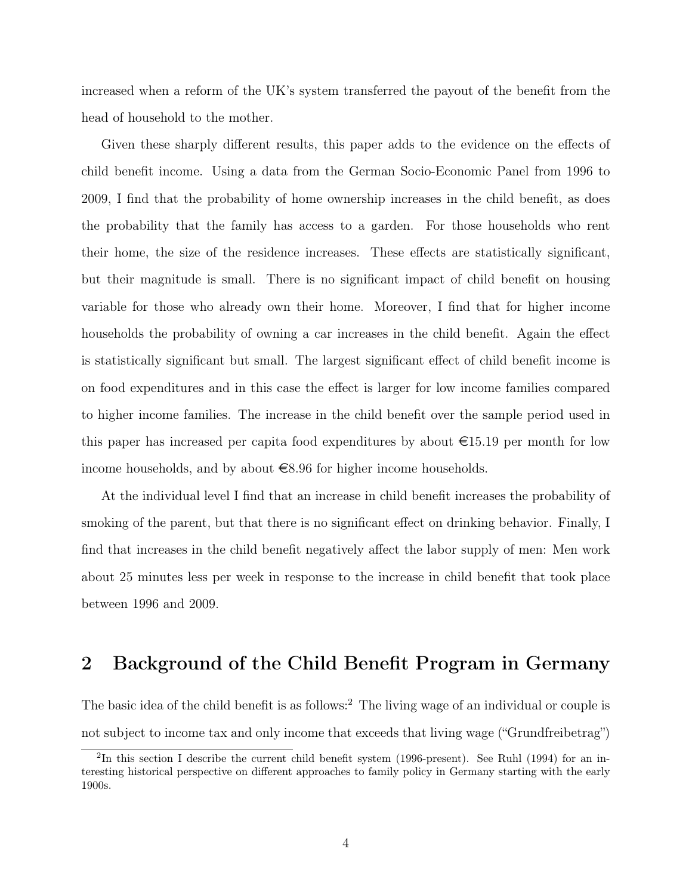increased when a reform of the UK's system transferred the payout of the benefit from the head of household to the mother.

Given these sharply different results, this paper adds to the evidence on the effects of child benefit income. Using a data from the German Socio-Economic Panel from 1996 to 2009, I find that the probability of home ownership increases in the child benefit, as does the probability that the family has access to a garden. For those households who rent their home, the size of the residence increases. These effects are statistically significant, but their magnitude is small. There is no significant impact of child benefit on housing variable for those who already own their home. Moreover, I find that for higher income households the probability of owning a car increases in the child benefit. Again the effect is statistically significant but small. The largest significant effect of child benefit income is on food expenditures and in this case the effect is larger for low income families compared to higher income families. The increase in the child benefit over the sample period used in this paper has increased per capita food expenditures by about  $\epsilon$ 15.19 per month for low income households, and by about  $\epsilon$ 8.96 for higher income households.

At the individual level I find that an increase in child benefit increases the probability of smoking of the parent, but that there is no significant effect on drinking behavior. Finally, I find that increases in the child benefit negatively affect the labor supply of men: Men work about 25 minutes less per week in response to the increase in child benefit that took place between 1996 and 2009.

## 2 Background of the Child Benefit Program in Germany

The basic idea of the child benefit is as follows:<sup>2</sup> The living wage of an individual or couple is not subject to income tax and only income that exceeds that living wage ("Grundfreibetrag")

<sup>&</sup>lt;sup>2</sup>In this section I describe the current child benefit system (1996-present). See Ruhl (1994) for an interesting historical perspective on different approaches to family policy in Germany starting with the early 1900s.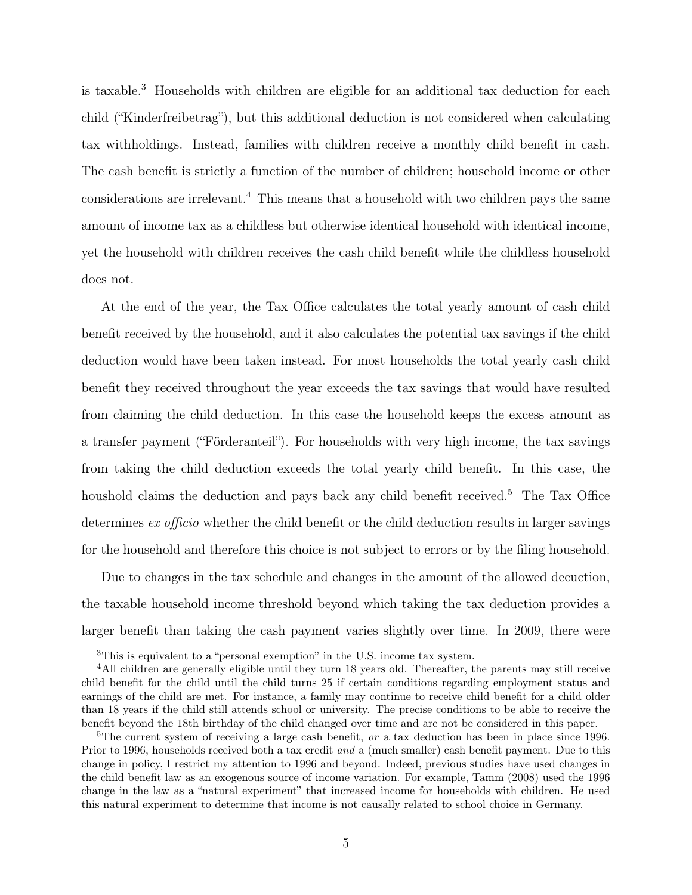is taxable.<sup>3</sup> Households with children are eligible for an additional tax deduction for each child ("Kinderfreibetrag"), but this additional deduction is not considered when calculating tax withholdings. Instead, families with children receive a monthly child benefit in cash. The cash benefit is strictly a function of the number of children; household income or other considerations are irrelevant.<sup>4</sup> This means that a household with two children pays the same amount of income tax as a childless but otherwise identical household with identical income, yet the household with children receives the cash child benefit while the childless household does not.

At the end of the year, the Tax Office calculates the total yearly amount of cash child benefit received by the household, and it also calculates the potential tax savings if the child deduction would have been taken instead. For most households the total yearly cash child benefit they received throughout the year exceeds the tax savings that would have resulted from claiming the child deduction. In this case the household keeps the excess amount as a transfer payment ("Förderanteil"). For households with very high income, the tax savings from taking the child deduction exceeds the total yearly child benefit. In this case, the houshold claims the deduction and pays back any child benefit received.<sup>5</sup> The Tax Office determines ex officio whether the child benefit or the child deduction results in larger savings for the household and therefore this choice is not subject to errors or by the filing household.

Due to changes in the tax schedule and changes in the amount of the allowed decuction, the taxable household income threshold beyond which taking the tax deduction provides a larger benefit than taking the cash payment varies slightly over time. In 2009, there were

<sup>3</sup>This is equivalent to a "personal exemption" in the U.S. income tax system.

<sup>&</sup>lt;sup>4</sup>All children are generally eligible until they turn 18 years old. Thereafter, the parents may still receive child benefit for the child until the child turns 25 if certain conditions regarding employment status and earnings of the child are met. For instance, a family may continue to receive child benefit for a child older than 18 years if the child still attends school or university. The precise conditions to be able to receive the benefit beyond the 18th birthday of the child changed over time and are not be considered in this paper.

<sup>&</sup>lt;sup>5</sup>The current system of receiving a large cash benefit, or a tax deduction has been in place since 1996. Prior to 1996, households received both a tax credit and a (much smaller) cash benefit payment. Due to this change in policy, I restrict my attention to 1996 and beyond. Indeed, previous studies have used changes in the child benefit law as an exogenous source of income variation. For example, Tamm (2008) used the 1996 change in the law as a "natural experiment" that increased income for households with children. He used this natural experiment to determine that income is not causally related to school choice in Germany.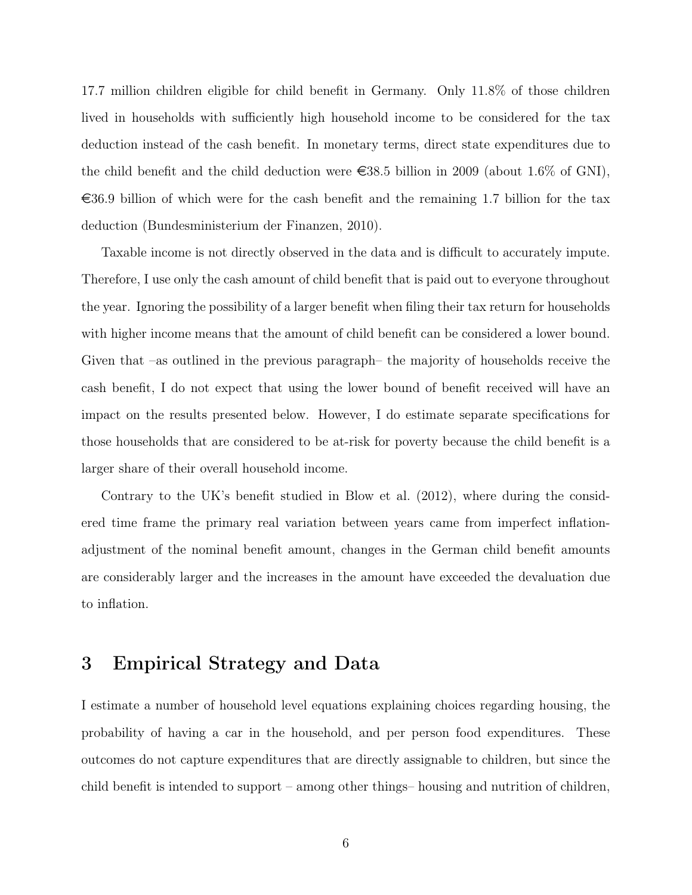17.7 million children eligible for child benefit in Germany. Only 11.8% of those children lived in households with sufficiently high household income to be considered for the tax deduction instead of the cash benefit. In monetary terms, direct state expenditures due to the child benefit and the child deduction were  $\epsilon$ 38.5 billion in 2009 (about 1.6% of GNI),  $\epsilon$ 36.9 billion of which were for the cash benefit and the remaining 1.7 billion for the tax deduction (Bundesministerium der Finanzen, 2010).

Taxable income is not directly observed in the data and is difficult to accurately impute. Therefore, I use only the cash amount of child benefit that is paid out to everyone throughout the year. Ignoring the possibility of a larger benefit when filing their tax return for households with higher income means that the amount of child benefit can be considered a lower bound. Given that –as outlined in the previous paragraph– the majority of households receive the cash benefit, I do not expect that using the lower bound of benefit received will have an impact on the results presented below. However, I do estimate separate specifications for those households that are considered to be at-risk for poverty because the child benefit is a larger share of their overall household income.

Contrary to the UK's benefit studied in Blow et al. (2012), where during the considered time frame the primary real variation between years came from imperfect inflationadjustment of the nominal benefit amount, changes in the German child benefit amounts are considerably larger and the increases in the amount have exceeded the devaluation due to inflation.

### 3 Empirical Strategy and Data

I estimate a number of household level equations explaining choices regarding housing, the probability of having a car in the household, and per person food expenditures. These outcomes do not capture expenditures that are directly assignable to children, but since the child benefit is intended to support – among other things– housing and nutrition of children,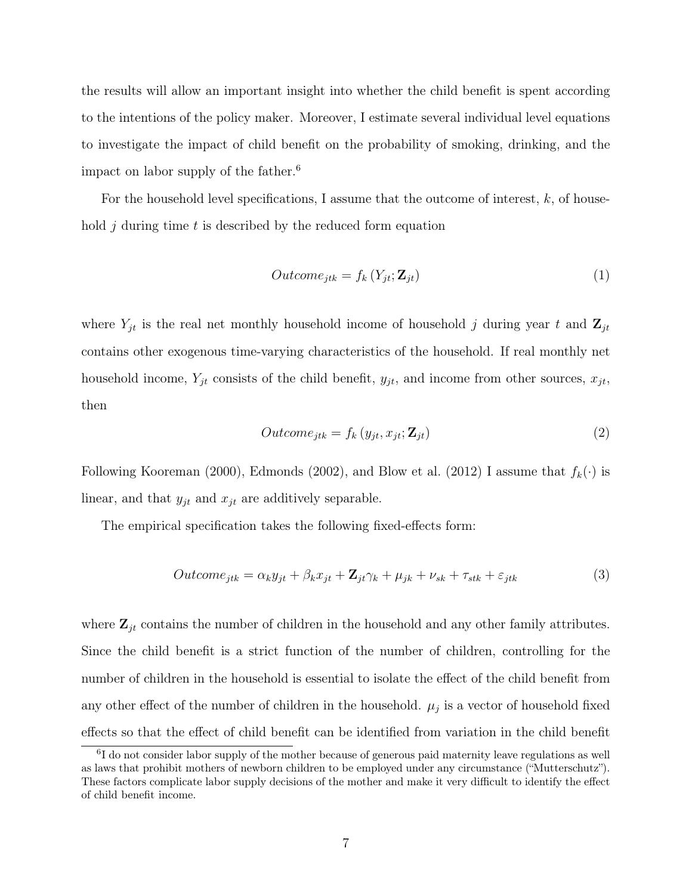the results will allow an important insight into whether the child benefit is spent according to the intentions of the policy maker. Moreover, I estimate several individual level equations to investigate the impact of child benefit on the probability of smoking, drinking, and the impact on labor supply of the father.<sup>6</sup>

For the household level specifications, I assume that the outcome of interest,  $k$ , of household  $i$  during time  $t$  is described by the reduced form equation

$$
Outcome_{jtk} = f_k(Y_{jt}; \mathbf{Z}_{jt})
$$
\n<sup>(1)</sup>

where  $Y_{jt}$  is the real net monthly household income of household j during year t and  $\mathbf{Z}_{jt}$ contains other exogenous time-varying characteristics of the household. If real monthly net household income,  $Y_{jt}$  consists of the child benefit,  $y_{jt}$ , and income from other sources,  $x_{jt}$ , then

$$
Outcome_{jtk} = f_k(y_{jt}, x_{jt}; \mathbf{Z}_{jt})
$$
\n<sup>(2)</sup>

Following Kooreman (2000), Edmonds (2002), and Blow et al. (2012) I assume that  $f_k(\cdot)$  is linear, and that  $y_{jt}$  and  $x_{jt}$  are additively separable.

The empirical specification takes the following fixed-effects form:

$$
Outcome_{jtk} = \alpha_k y_{jt} + \beta_k x_{jt} + \mathbf{Z}_{jt}\gamma_k + \mu_{jk} + \nu_{sk} + \tau_{stk} + \varepsilon_{jtk}
$$
\n
$$
\tag{3}
$$

where  $\mathbf{Z}_{it}$  contains the number of children in the household and any other family attributes. Since the child benefit is a strict function of the number of children, controlling for the number of children in the household is essential to isolate the effect of the child benefit from any other effect of the number of children in the household.  $\mu_j$  is a vector of household fixed effects so that the effect of child benefit can be identified from variation in the child benefit

<sup>&</sup>lt;sup>6</sup>I do not consider labor supply of the mother because of generous paid maternity leave regulations as well as laws that prohibit mothers of newborn children to be employed under any circumstance ("Mutterschutz"). These factors complicate labor supply decisions of the mother and make it very difficult to identify the effect of child benefit income.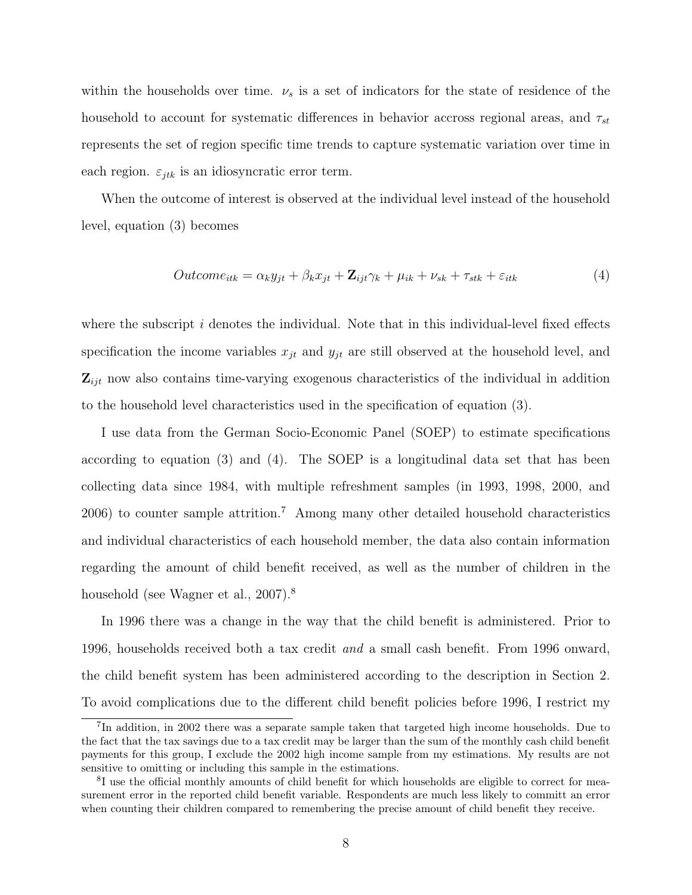within the households over time.  $\nu_s$  is a set of indicators for the state of residence of the household to account for systematic differences in behavior accross regional areas, and  $\tau_{st}$ represents the set of region specific time trends to capture systematic variation over time in each region.  $\varepsilon_{jtk}$  is an idiosyncratic error term.

When the outcome of interest is observed at the individual level instead of the household level, equation (3) becomes

$$
Outcome_{itk} = \alpha_k y_{jt} + \beta_k x_{jt} + \mathbf{Z}_{ijt}\gamma_k + \mu_{ik} + \nu_{sk} + \tau_{stk} + \varepsilon_{itk}
$$
\n
$$
\tag{4}
$$

where the subscript  $i$  denotes the individual. Note that in this individual-level fixed effects specification the income variables  $x_{jt}$  and  $y_{jt}$  are still observed at the household level, and  $\mathbf{Z}_{ijt}$  now also contains time-varying exogenous characteristics of the individual in addition to the household level characteristics used in the specification of equation (3).

I use data from the German Socio-Economic Panel (SOEP) to estimate specifications according to equation (3) and (4). The SOEP is a longitudinal data set that has been collecting data since 1984, with multiple refreshment samples (in 1993, 1998, 2000, and 2006) to counter sample attrition.<sup>7</sup> Among many other detailed household characteristics and individual characteristics of each household member, the data also contain information regarding the amount of child benefit received, as well as the number of children in the household (see Wagner et al., 2007).<sup>8</sup>

In 1996 there was a change in the way that the child benefit is administered. Prior to 1996, households received both a tax credit and a small cash benefit. From 1996 onward, the child benefit system has been administered according to the description in Section 2. To avoid complications due to the different child benefit policies before 1996, I restrict my

<sup>&</sup>lt;sup>7</sup>In addition, in 2002 there was a separate sample taken that targeted high income households. Due to the fact that the tax savings due to a tax credit may be larger than the sum of the monthly cash child benefit payments for this group, I exclude the 2002 high income sample from my estimations. My results are not sensitive to omitting or including this sample in the estimations.

<sup>&</sup>lt;sup>8</sup>I use the official monthly amounts of child benefit for which households are eligible to correct for measurement error in the reported child benefit variable. Respondents are much less likely to committ an error when counting their children compared to remembering the precise amount of child benefit they receive.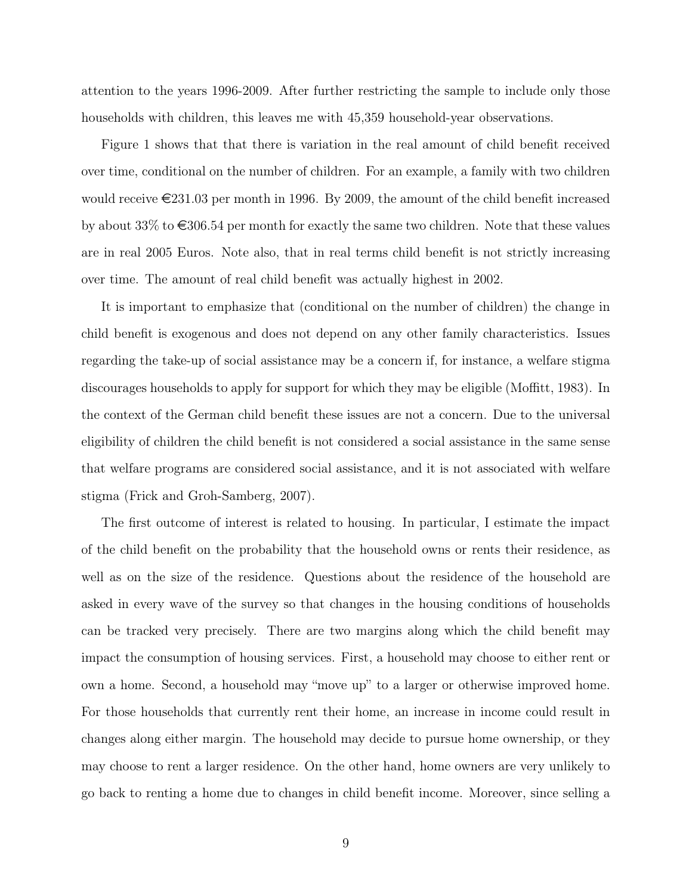attention to the years 1996-2009. After further restricting the sample to include only those households with children, this leaves me with 45,359 household-year observations.

Figure 1 shows that that there is variation in the real amount of child benefit received over time, conditional on the number of children. For an example, a family with two children would receive  $\epsilon$  231.03 per month in 1996. By 2009, the amount of the child benefit increased by about 33% to  $\epsilon$ 306.54 per month for exactly the same two children. Note that these values are in real 2005 Euros. Note also, that in real terms child benefit is not strictly increasing over time. The amount of real child benefit was actually highest in 2002.

It is important to emphasize that (conditional on the number of children) the change in child benefit is exogenous and does not depend on any other family characteristics. Issues regarding the take-up of social assistance may be a concern if, for instance, a welfare stigma discourages households to apply for support for which they may be eligible (Moffitt, 1983). In the context of the German child benefit these issues are not a concern. Due to the universal eligibility of children the child benefit is not considered a social assistance in the same sense that welfare programs are considered social assistance, and it is not associated with welfare stigma (Frick and Groh-Samberg, 2007).

The first outcome of interest is related to housing. In particular, I estimate the impact of the child benefit on the probability that the household owns or rents their residence, as well as on the size of the residence. Questions about the residence of the household are asked in every wave of the survey so that changes in the housing conditions of households can be tracked very precisely. There are two margins along which the child benefit may impact the consumption of housing services. First, a household may choose to either rent or own a home. Second, a household may "move up" to a larger or otherwise improved home. For those households that currently rent their home, an increase in income could result in changes along either margin. The household may decide to pursue home ownership, or they may choose to rent a larger residence. On the other hand, home owners are very unlikely to go back to renting a home due to changes in child benefit income. Moreover, since selling a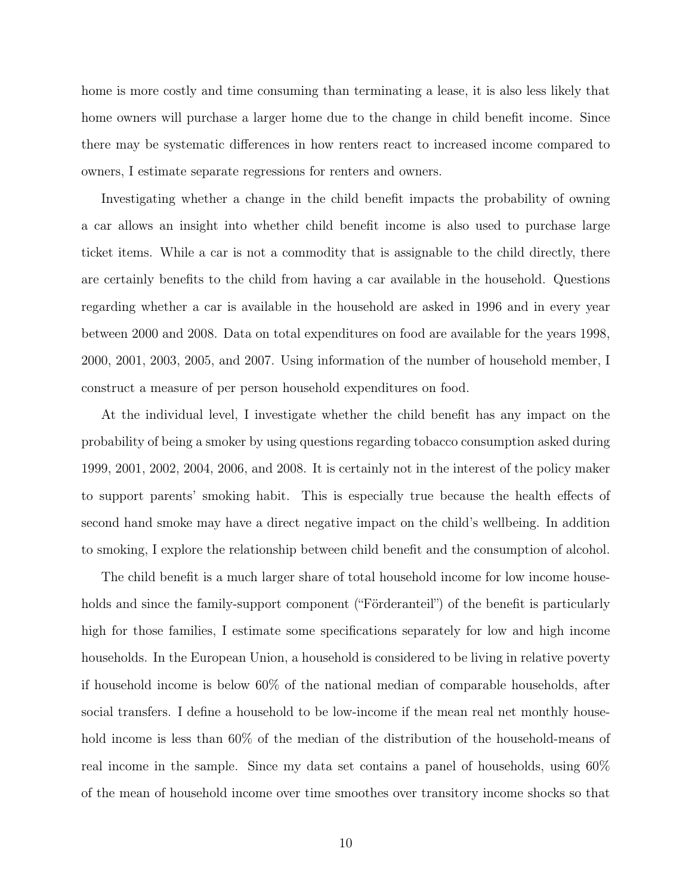home is more costly and time consuming than terminating a lease, it is also less likely that home owners will purchase a larger home due to the change in child benefit income. Since there may be systematic differences in how renters react to increased income compared to owners, I estimate separate regressions for renters and owners.

Investigating whether a change in the child benefit impacts the probability of owning a car allows an insight into whether child benefit income is also used to purchase large ticket items. While a car is not a commodity that is assignable to the child directly, there are certainly benefits to the child from having a car available in the household. Questions regarding whether a car is available in the household are asked in 1996 and in every year between 2000 and 2008. Data on total expenditures on food are available for the years 1998, 2000, 2001, 2003, 2005, and 2007. Using information of the number of household member, I construct a measure of per person household expenditures on food.

At the individual level, I investigate whether the child benefit has any impact on the probability of being a smoker by using questions regarding tobacco consumption asked during 1999, 2001, 2002, 2004, 2006, and 2008. It is certainly not in the interest of the policy maker to support parents' smoking habit. This is especially true because the health effects of second hand smoke may have a direct negative impact on the child's wellbeing. In addition to smoking, I explore the relationship between child benefit and the consumption of alcohol.

The child benefit is a much larger share of total household income for low income households and since the family-support component ("Förderanteil") of the benefit is particularly high for those families, I estimate some specifications separately for low and high income households. In the European Union, a household is considered to be living in relative poverty if household income is below 60% of the national median of comparable households, after social transfers. I define a household to be low-income if the mean real net monthly household income is less than  $60\%$  of the median of the distribution of the household-means of real income in the sample. Since my data set contains a panel of households, using 60% of the mean of household income over time smoothes over transitory income shocks so that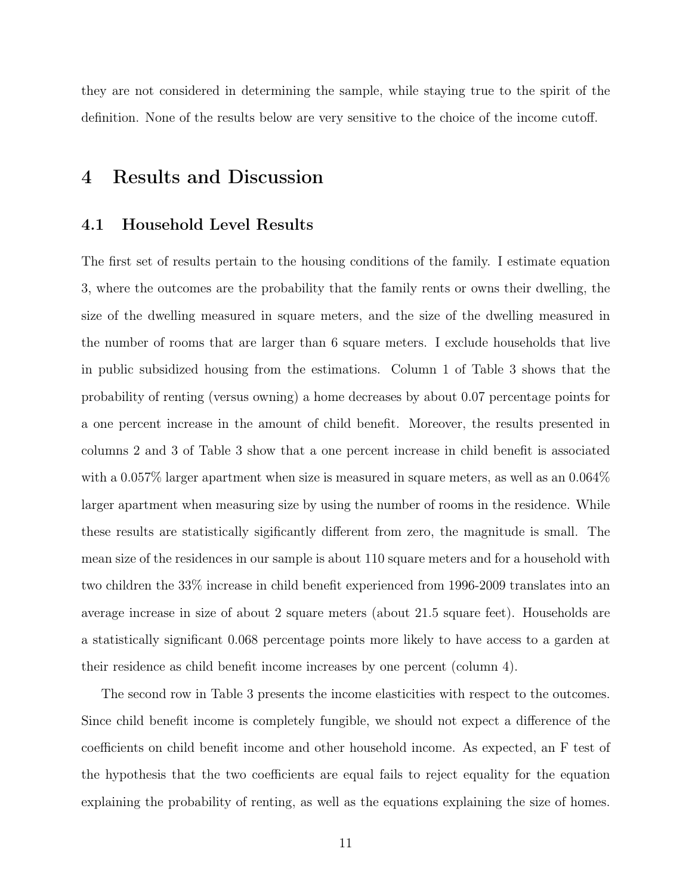they are not considered in determining the sample, while staying true to the spirit of the definition. None of the results below are very sensitive to the choice of the income cutoff.

### 4 Results and Discussion

#### 4.1 Household Level Results

The first set of results pertain to the housing conditions of the family. I estimate equation 3, where the outcomes are the probability that the family rents or owns their dwelling, the size of the dwelling measured in square meters, and the size of the dwelling measured in the number of rooms that are larger than 6 square meters. I exclude households that live in public subsidized housing from the estimations. Column 1 of Table 3 shows that the probability of renting (versus owning) a home decreases by about 0.07 percentage points for a one percent increase in the amount of child benefit. Moreover, the results presented in columns 2 and 3 of Table 3 show that a one percent increase in child benefit is associated with a 0.057% larger apartment when size is measured in square meters, as well as an 0.064% larger apartment when measuring size by using the number of rooms in the residence. While these results are statistically sigificantly different from zero, the magnitude is small. The mean size of the residences in our sample is about 110 square meters and for a household with two children the 33% increase in child benefit experienced from 1996-2009 translates into an average increase in size of about 2 square meters (about 21.5 square feet). Households are a statistically significant 0.068 percentage points more likely to have access to a garden at their residence as child benefit income increases by one percent (column 4).

The second row in Table 3 presents the income elasticities with respect to the outcomes. Since child benefit income is completely fungible, we should not expect a difference of the coefficients on child benefit income and other household income. As expected, an F test of the hypothesis that the two coefficients are equal fails to reject equality for the equation explaining the probability of renting, as well as the equations explaining the size of homes.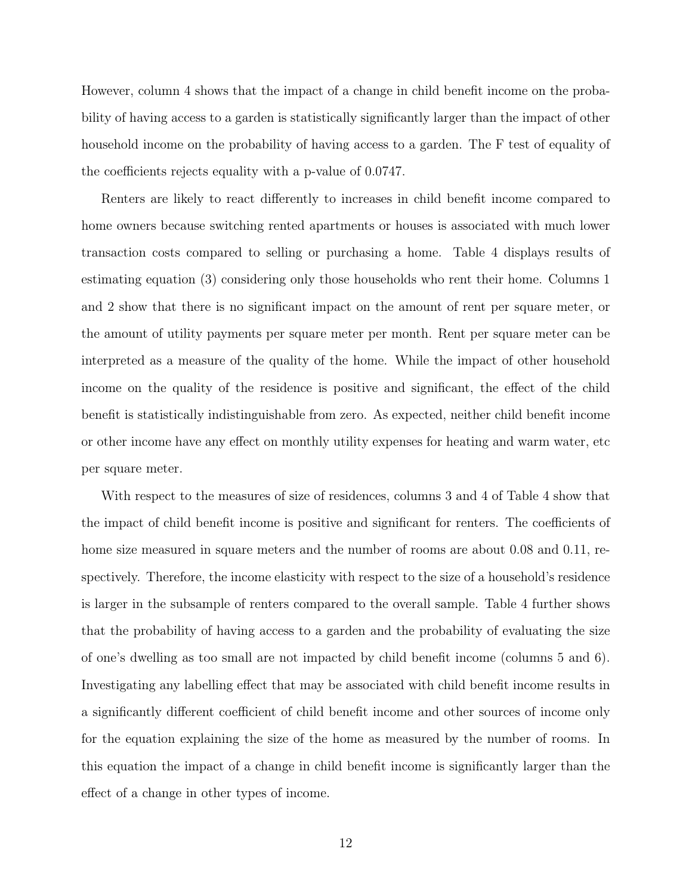However, column 4 shows that the impact of a change in child benefit income on the probability of having access to a garden is statistically significantly larger than the impact of other household income on the probability of having access to a garden. The F test of equality of the coefficients rejects equality with a p-value of 0.0747.

Renters are likely to react differently to increases in child benefit income compared to home owners because switching rented apartments or houses is associated with much lower transaction costs compared to selling or purchasing a home. Table 4 displays results of estimating equation (3) considering only those households who rent their home. Columns 1 and 2 show that there is no significant impact on the amount of rent per square meter, or the amount of utility payments per square meter per month. Rent per square meter can be interpreted as a measure of the quality of the home. While the impact of other household income on the quality of the residence is positive and significant, the effect of the child benefit is statistically indistinguishable from zero. As expected, neither child benefit income or other income have any effect on monthly utility expenses for heating and warm water, etc per square meter.

With respect to the measures of size of residences, columns 3 and 4 of Table 4 show that the impact of child benefit income is positive and significant for renters. The coefficients of home size measured in square meters and the number of rooms are about 0.08 and 0.11, respectively. Therefore, the income elasticity with respect to the size of a household's residence is larger in the subsample of renters compared to the overall sample. Table 4 further shows that the probability of having access to a garden and the probability of evaluating the size of one's dwelling as too small are not impacted by child benefit income (columns 5 and 6). Investigating any labelling effect that may be associated with child benefit income results in a significantly different coefficient of child benefit income and other sources of income only for the equation explaining the size of the home as measured by the number of rooms. In this equation the impact of a change in child benefit income is significantly larger than the effect of a change in other types of income.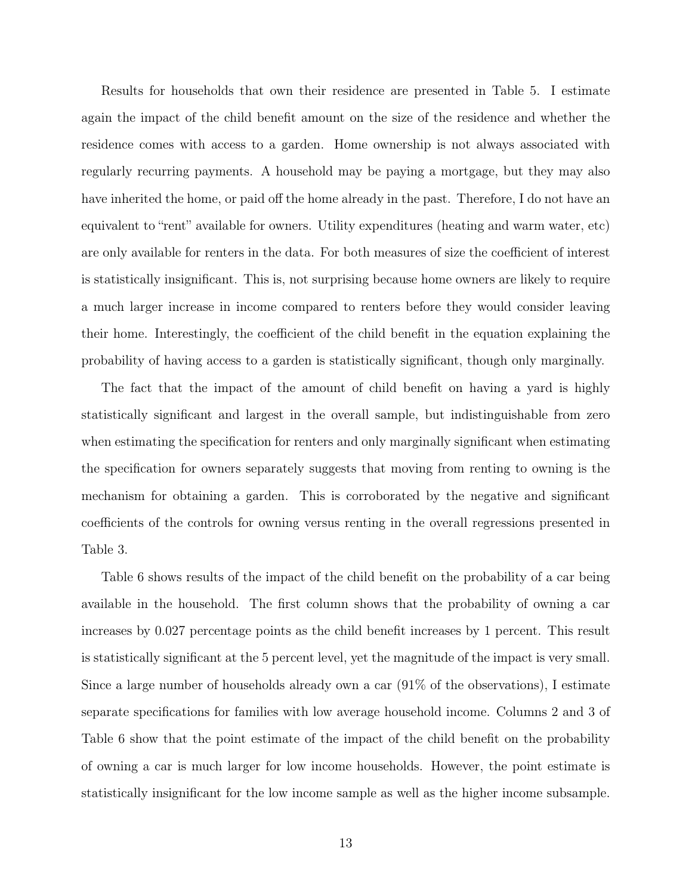Results for households that own their residence are presented in Table 5. I estimate again the impact of the child benefit amount on the size of the residence and whether the residence comes with access to a garden. Home ownership is not always associated with regularly recurring payments. A household may be paying a mortgage, but they may also have inherited the home, or paid off the home already in the past. Therefore, I do not have an equivalent to "rent" available for owners. Utility expenditures (heating and warm water, etc) are only available for renters in the data. For both measures of size the coefficient of interest is statistically insignificant. This is, not surprising because home owners are likely to require a much larger increase in income compared to renters before they would consider leaving their home. Interestingly, the coefficient of the child benefit in the equation explaining the probability of having access to a garden is statistically significant, though only marginally.

The fact that the impact of the amount of child benefit on having a yard is highly statistically significant and largest in the overall sample, but indistinguishable from zero when estimating the specification for renters and only marginally significant when estimating the specification for owners separately suggests that moving from renting to owning is the mechanism for obtaining a garden. This is corroborated by the negative and significant coefficients of the controls for owning versus renting in the overall regressions presented in Table 3.

Table 6 shows results of the impact of the child benefit on the probability of a car being available in the household. The first column shows that the probability of owning a car increases by 0.027 percentage points as the child benefit increases by 1 percent. This result is statistically significant at the 5 percent level, yet the magnitude of the impact is very small. Since a large number of households already own a car (91% of the observations), I estimate separate specifications for families with low average household income. Columns 2 and 3 of Table 6 show that the point estimate of the impact of the child benefit on the probability of owning a car is much larger for low income households. However, the point estimate is statistically insignificant for the low income sample as well as the higher income subsample.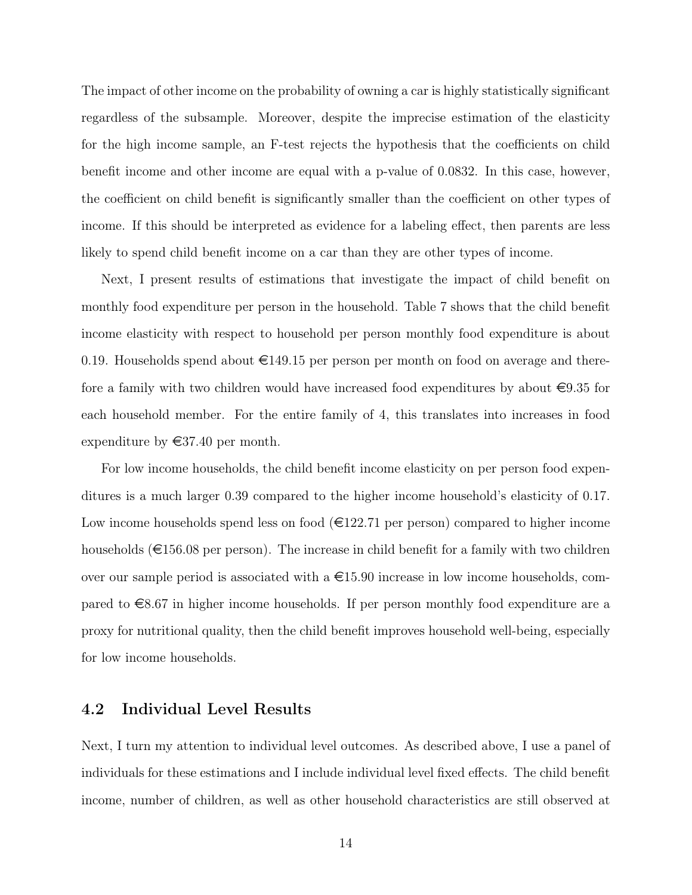The impact of other income on the probability of owning a car is highly statistically significant regardless of the subsample. Moreover, despite the imprecise estimation of the elasticity for the high income sample, an F-test rejects the hypothesis that the coefficients on child benefit income and other income are equal with a p-value of 0.0832. In this case, however, the coefficient on child benefit is significantly smaller than the coefficient on other types of income. If this should be interpreted as evidence for a labeling effect, then parents are less likely to spend child benefit income on a car than they are other types of income.

Next, I present results of estimations that investigate the impact of child benefit on monthly food expenditure per person in the household. Table 7 shows that the child benefit income elasticity with respect to household per person monthly food expenditure is about 0.19. Households spend about  $\epsilon$ 149.15 per person per month on food on average and therefore a family with two children would have increased food expenditures by about  $\epsilon$ 9.35 for each household member. For the entire family of 4, this translates into increases in food expenditure by  $\in 37.40$  per month.

For low income households, the child benefit income elasticity on per person food expenditures is a much larger 0.39 compared to the higher income household's elasticity of 0.17. Low income households spend less on food  $(\epsilon 122.71$  per person) compared to higher income households ( $\epsilon$ 156.08 per person). The increase in child benefit for a family with two children over our sample period is associated with a  $\epsilon$ 15.90 increase in low income households, compared to  $\epsilon$ 8.67 in higher income households. If per person monthly food expenditure are a proxy for nutritional quality, then the child benefit improves household well-being, especially for low income households.

### 4.2 Individual Level Results

Next, I turn my attention to individual level outcomes. As described above, I use a panel of individuals for these estimations and I include individual level fixed effects. The child benefit income, number of children, as well as other household characteristics are still observed at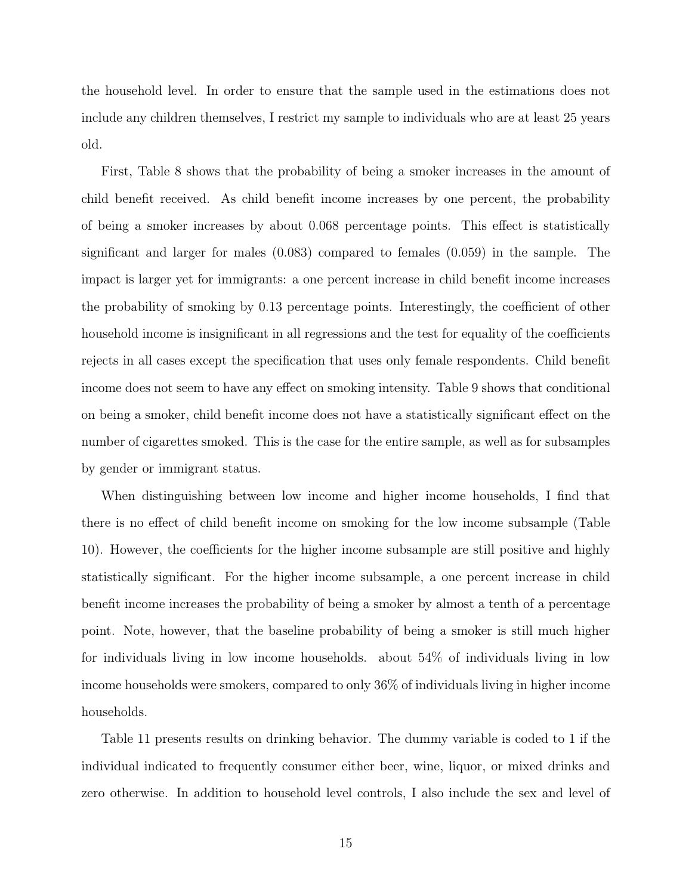the household level. In order to ensure that the sample used in the estimations does not include any children themselves, I restrict my sample to individuals who are at least 25 years old.

First, Table 8 shows that the probability of being a smoker increases in the amount of child benefit received. As child benefit income increases by one percent, the probability of being a smoker increases by about 0.068 percentage points. This effect is statistically significant and larger for males (0.083) compared to females (0.059) in the sample. The impact is larger yet for immigrants: a one percent increase in child benefit income increases the probability of smoking by 0.13 percentage points. Interestingly, the coefficient of other household income is insignificant in all regressions and the test for equality of the coefficients rejects in all cases except the specification that uses only female respondents. Child benefit income does not seem to have any effect on smoking intensity. Table 9 shows that conditional on being a smoker, child benefit income does not have a statistically significant effect on the number of cigarettes smoked. This is the case for the entire sample, as well as for subsamples by gender or immigrant status.

When distinguishing between low income and higher income households, I find that there is no effect of child benefit income on smoking for the low income subsample (Table 10). However, the coefficients for the higher income subsample are still positive and highly statistically significant. For the higher income subsample, a one percent increase in child benefit income increases the probability of being a smoker by almost a tenth of a percentage point. Note, however, that the baseline probability of being a smoker is still much higher for individuals living in low income households. about 54% of individuals living in low income households were smokers, compared to only 36% of individuals living in higher income households.

Table 11 presents results on drinking behavior. The dummy variable is coded to 1 if the individual indicated to frequently consumer either beer, wine, liquor, or mixed drinks and zero otherwise. In addition to household level controls, I also include the sex and level of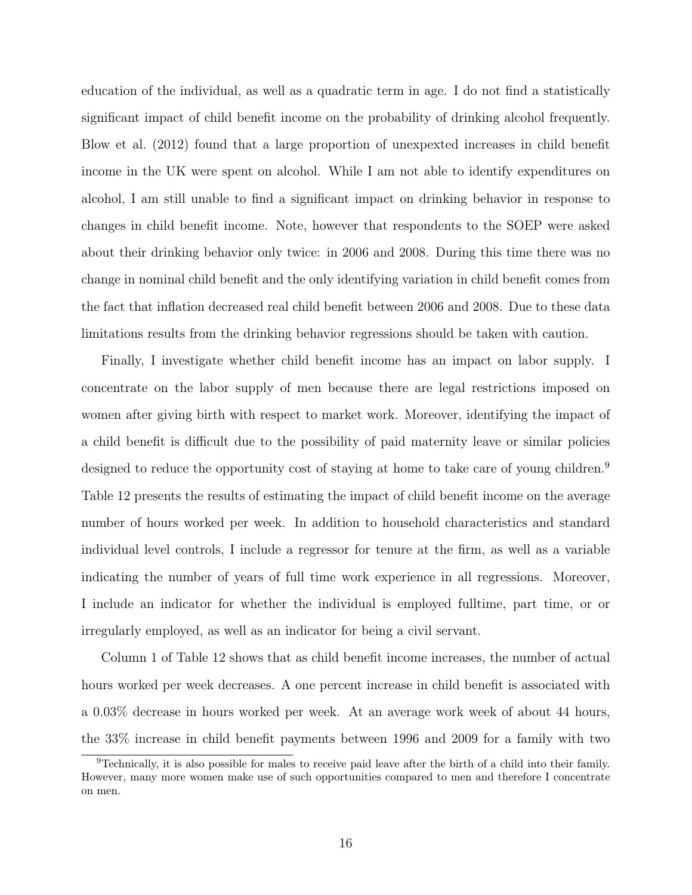education of the individual, as well as a quadratic term in age. I do not find a statistically significant impact of child benefit income on the probability of drinking alcohol frequently. Blow et al. (2012) found that a large proportion of unexpexted increases in child benefit income in the UK were spent on alcohol. While I am not able to identify expenditures on alcohol, I am still unable to find a significant impact on drinking behavior in response to changes in child benefit income. Note, however that respondents to the SOEP were asked about their drinking behavior only twice: in 2006 and 2008. During this time there was no change in nominal child benefit and the only identifying variation in child benefit comes from the fact that inflation decreased real child benefit between 2006 and 2008. Due to these data limitations results from the drinking behavior regressions should be taken with caution.

Finally, I investigate whether child benefit income has an impact on labor supply. I concentrate on the labor supply of men because there are legal restrictions imposed on women after giving birth with respect to market work. Moreover, identifying the impact of a child benefit is difficult due to the possibility of paid maternity leave or similar policies designed to reduce the opportunity cost of staying at home to take care of young children.<sup>9</sup> Table 12 presents the results of estimating the impact of child benefit income on the average number of hours worked per week. In addition to household characteristics and standard individual level controls, I include a regressor for tenure at the firm, as well as a variable indicating the number of years of full time work experience in all regressions. Moreover, I include an indicator for whether the individual is employed fulltime, part time, or or irregularly employed, as well as an indicator for being a civil servant.

Column 1 of Table 12 shows that as child benefit income increases, the number of actual hours worked per week decreases. A one percent increase in child benefit is associated with a 0.03% decrease in hours worked per week. At an average work week of about 44 hours, the 33% increase in child benefit payments between 1996 and 2009 for a family with two

<sup>9</sup>Technically, it is also possible for males to receive paid leave after the birth of a child into their family. However, many more women make use of such opportunities compared to men and therefore I concentrate on men.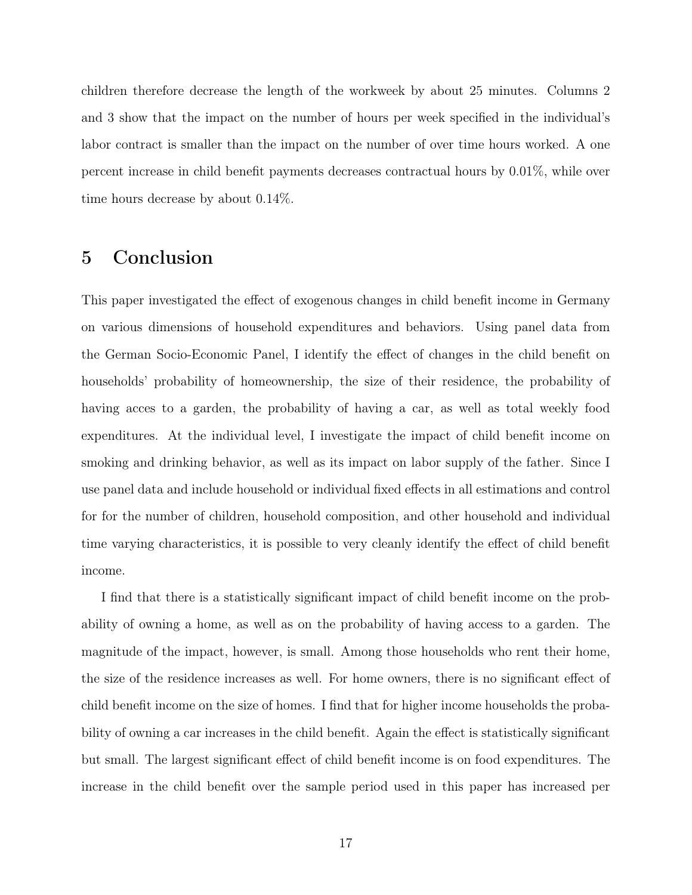children therefore decrease the length of the workweek by about 25 minutes. Columns 2 and 3 show that the impact on the number of hours per week specified in the individual's labor contract is smaller than the impact on the number of over time hours worked. A one percent increase in child benefit payments decreases contractual hours by 0.01%, while over time hours decrease by about 0.14%.

## 5 Conclusion

This paper investigated the effect of exogenous changes in child benefit income in Germany on various dimensions of household expenditures and behaviors. Using panel data from the German Socio-Economic Panel, I identify the effect of changes in the child benefit on households' probability of homeownership, the size of their residence, the probability of having acces to a garden, the probability of having a car, as well as total weekly food expenditures. At the individual level, I investigate the impact of child benefit income on smoking and drinking behavior, as well as its impact on labor supply of the father. Since I use panel data and include household or individual fixed effects in all estimations and control for for the number of children, household composition, and other household and individual time varying characteristics, it is possible to very cleanly identify the effect of child benefit income.

I find that there is a statistically significant impact of child benefit income on the probability of owning a home, as well as on the probability of having access to a garden. The magnitude of the impact, however, is small. Among those households who rent their home, the size of the residence increases as well. For home owners, there is no significant effect of child benefit income on the size of homes. I find that for higher income households the probability of owning a car increases in the child benefit. Again the effect is statistically significant but small. The largest significant effect of child benefit income is on food expenditures. The increase in the child benefit over the sample period used in this paper has increased per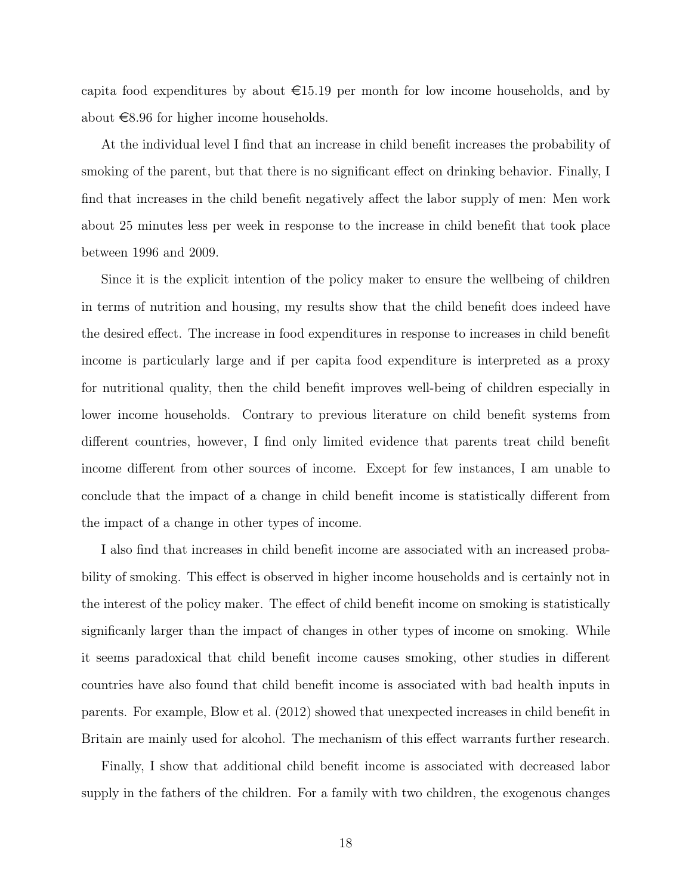capita food expenditures by about  $\epsilon$ 15.19 per month for low income households, and by about  $\epsilon$ 8.96 for higher income households.

At the individual level I find that an increase in child benefit increases the probability of smoking of the parent, but that there is no significant effect on drinking behavior. Finally, I find that increases in the child benefit negatively affect the labor supply of men: Men work about 25 minutes less per week in response to the increase in child benefit that took place between 1996 and 2009.

Since it is the explicit intention of the policy maker to ensure the wellbeing of children in terms of nutrition and housing, my results show that the child benefit does indeed have the desired effect. The increase in food expenditures in response to increases in child benefit income is particularly large and if per capita food expenditure is interpreted as a proxy for nutritional quality, then the child benefit improves well-being of children especially in lower income households. Contrary to previous literature on child benefit systems from different countries, however, I find only limited evidence that parents treat child benefit income different from other sources of income. Except for few instances, I am unable to conclude that the impact of a change in child benefit income is statistically different from the impact of a change in other types of income.

I also find that increases in child benefit income are associated with an increased probability of smoking. This effect is observed in higher income households and is certainly not in the interest of the policy maker. The effect of child benefit income on smoking is statistically significanly larger than the impact of changes in other types of income on smoking. While it seems paradoxical that child benefit income causes smoking, other studies in different countries have also found that child benefit income is associated with bad health inputs in parents. For example, Blow et al. (2012) showed that unexpected increases in child benefit in Britain are mainly used for alcohol. The mechanism of this effect warrants further research.

Finally, I show that additional child benefit income is associated with decreased labor supply in the fathers of the children. For a family with two children, the exogenous changes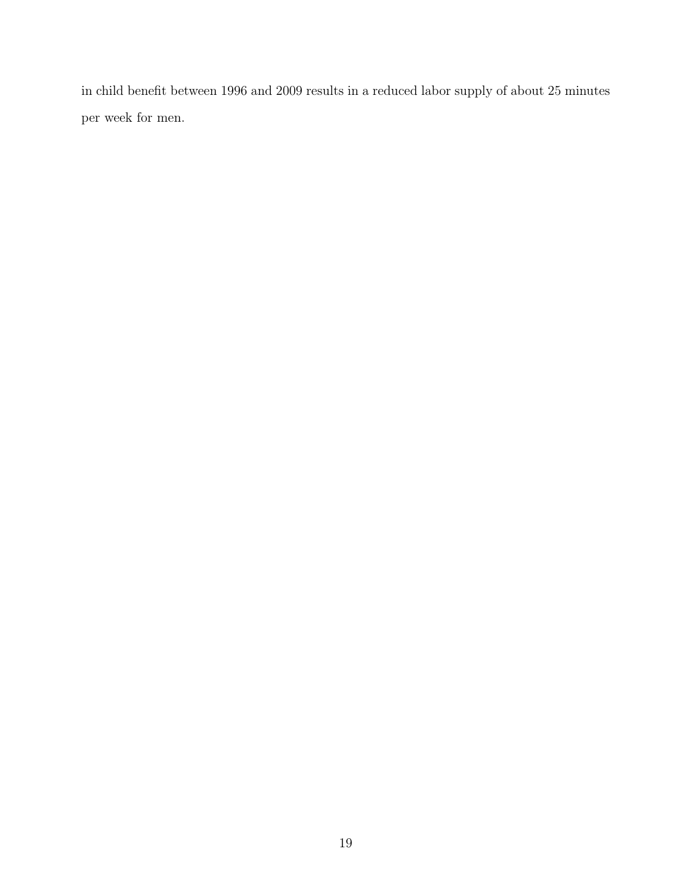in child benefit between 1996 and 2009 results in a reduced labor supply of about 25 minutes per week for men.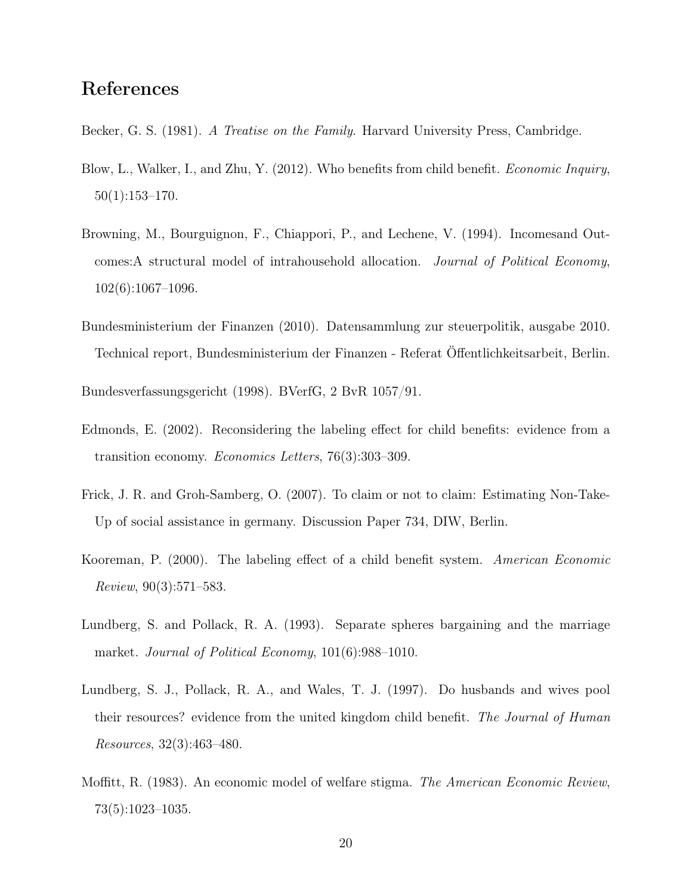### References

- Becker, G. S. (1981). A Treatise on the Family. Harvard University Press, Cambridge.
- Blow, L., Walker, I., and Zhu, Y. (2012). Who benefits from child benefit. *Economic Inquiry*, 50(1):153–170.
- Browning, M., Bourguignon, F., Chiappori, P., and Lechene, V. (1994). Incomesand Outcomes:A structural model of intrahousehold allocation. Journal of Political Economy, 102(6):1067–1096.
- Bundesministerium der Finanzen (2010). Datensammlung zur steuerpolitik, ausgabe 2010. Technical report, Bundesministerium der Finanzen - Referat Öffentlichkeitsarbeit, Berlin.

Bundesverfassungsgericht (1998). BVerfG, 2 BvR 1057/91.

- Edmonds, E. (2002). Reconsidering the labeling effect for child benefits: evidence from a transition economy. Economics Letters, 76(3):303–309.
- Frick, J. R. and Groh-Samberg, O. (2007). To claim or not to claim: Estimating Non-Take-Up of social assistance in germany. Discussion Paper 734, DIW, Berlin.
- Kooreman, P. (2000). The labeling effect of a child benefit system. American Economic Review, 90(3):571–583.
- Lundberg, S. and Pollack, R. A. (1993). Separate spheres bargaining and the marriage market. Journal of Political Economy, 101(6):988–1010.
- Lundberg, S. J., Pollack, R. A., and Wales, T. J. (1997). Do husbands and wives pool their resources? evidence from the united kingdom child benefit. The Journal of Human Resources, 32(3):463–480.
- Moffitt, R. (1983). An economic model of welfare stigma. The American Economic Review, 73(5):1023–1035.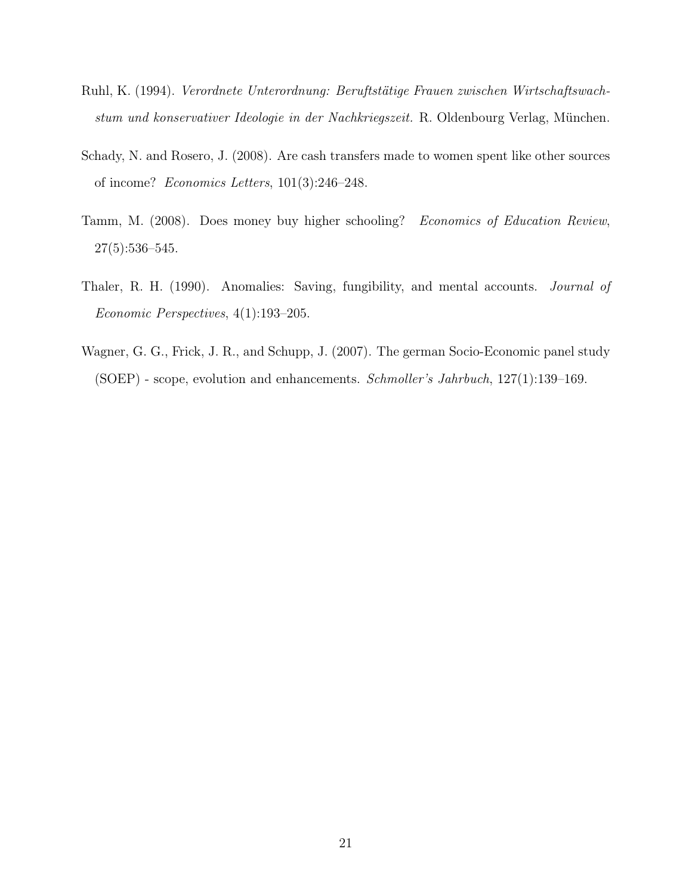- Ruhl, K. (1994). Verordnete Unterordnung: Beruftstätige Frauen zwischen Wirtschaftswachstum und konservativer Ideologie in der Nachkriegszeit. R. Oldenbourg Verlag, München.
- Schady, N. and Rosero, J. (2008). Are cash transfers made to women spent like other sources of income? Economics Letters, 101(3):246–248.
- Tamm, M. (2008). Does money buy higher schooling? Economics of Education Review, 27(5):536–545.
- Thaler, R. H. (1990). Anomalies: Saving, fungibility, and mental accounts. Journal of Economic Perspectives, 4(1):193–205.
- Wagner, G. G., Frick, J. R., and Schupp, J. (2007). The german Socio-Economic panel study (SOEP) - scope, evolution and enhancements. Schmoller's Jahrbuch, 127(1):139–169.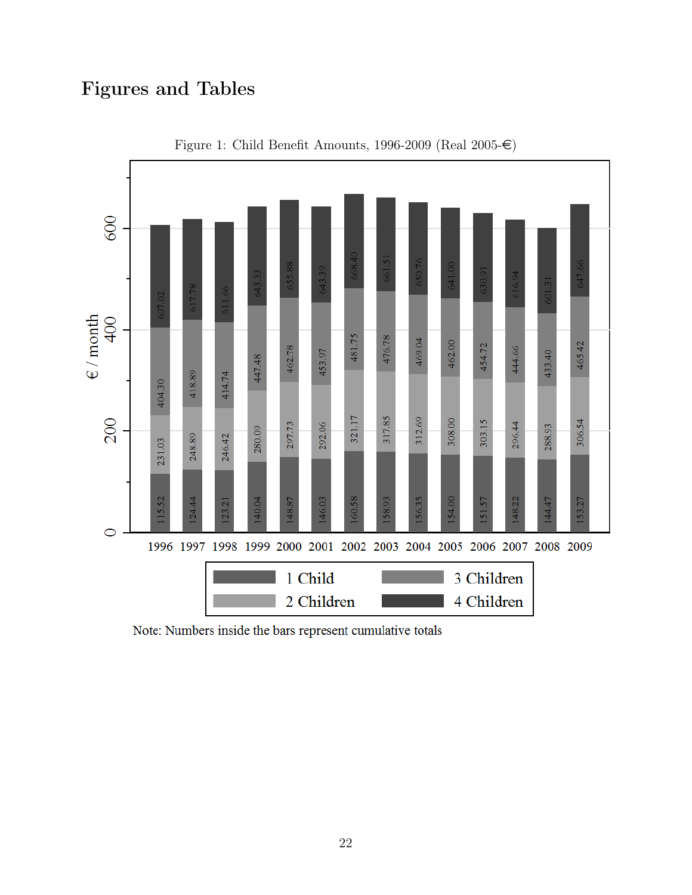## Figures and Tables



Figure 1: Child Benefit Amounts, 1996-2009 (Real 2005- $\in$ )

Note: Numbers inside the bars represent cumulative totals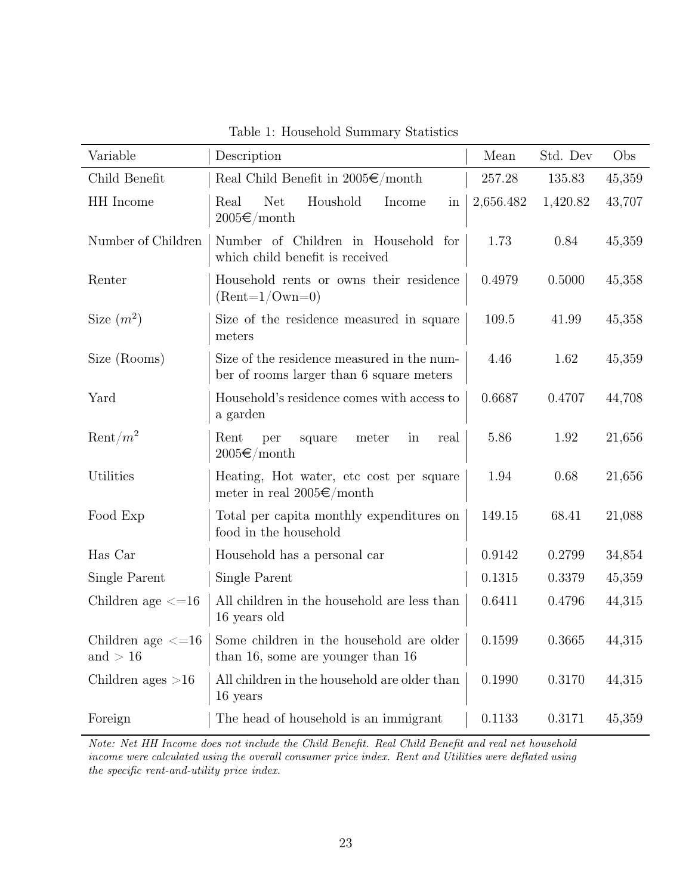| Variable                              | Description                                                                            | Mean      | Std. Dev | Obs    |
|---------------------------------------|----------------------------------------------------------------------------------------|-----------|----------|--------|
| Child Benefit                         | Real Child Benefit in $2005 \in /$ month                                               | 257.28    | 135.83   | 45,359 |
| HH Income                             | <b>Net</b><br>Houshold<br>Real<br>Income<br>in<br>$2005 \text{E}/\mathrm{month}$       | 2,656.482 | 1,420.82 | 43,707 |
| Number of Children                    | Number of Children in Household for<br>which child benefit is received                 | 1.73      | 0.84     | 45,359 |
| Renter                                | Household rents or owns their residence<br>$(Rent=1/Own=0)$                            | 0.4979    | 0.5000   | 45,358 |
| Size $(m^2)$                          | Size of the residence measured in square<br>meters                                     | 109.5     | 41.99    | 45,358 |
| Size (Rooms)                          | Size of the residence measured in the num-<br>ber of rooms larger than 6 square meters | 4.46      | 1.62     | 45,359 |
| Yard                                  | Household's residence comes with access to<br>a garden                                 | 0.6687    | 0.4707   | 44,708 |
| $\mathrm{Rent}/m^2$                   | Rent<br>per<br>square<br>meter<br>in<br>real<br>$2005 \in \text{/month}$               | 5.86      | 1.92     | 21,656 |
| Utilities                             | Heating, Hot water, etc cost per square<br>meter in real $2005 \in /$ month            | 1.94      | 0.68     | 21,656 |
| Food Exp                              | Total per capita monthly expenditures on<br>food in the household                      | 149.15    | 68.41    | 21,088 |
| Has Car                               | Household has a personal car                                                           | 0.9142    | 0.2799   | 34,854 |
| Single Parent                         | Single Parent                                                                          | 0.1315    | 0.3379   | 45,359 |
| Children age $\leq$ =16               | All children in the household are less than<br>16 years old                            | 0.6411    | 0.4796   | 44,315 |
| Children age $\leq$ =16<br>and $> 16$ | Some children in the household are older<br>than 16, some are younger than 16          | 0.1599    | 0.3665   | 44,315 |
| Children ages $>16$                   | All children in the household are older than<br>16 years                               | 0.1990    | 0.3170   | 44,315 |
| Foreign                               | The head of household is an immigrant                                                  | 0.1133    | 0.3171   | 45,359 |

Table 1: Household Summary Statistics

Note: Net HH Income does not include the Child Benefit. Real Child Benefit and real net household income were calculated using the overall consumer price index. Rent and Utilities were deflated using the specific rent-and-utility price index.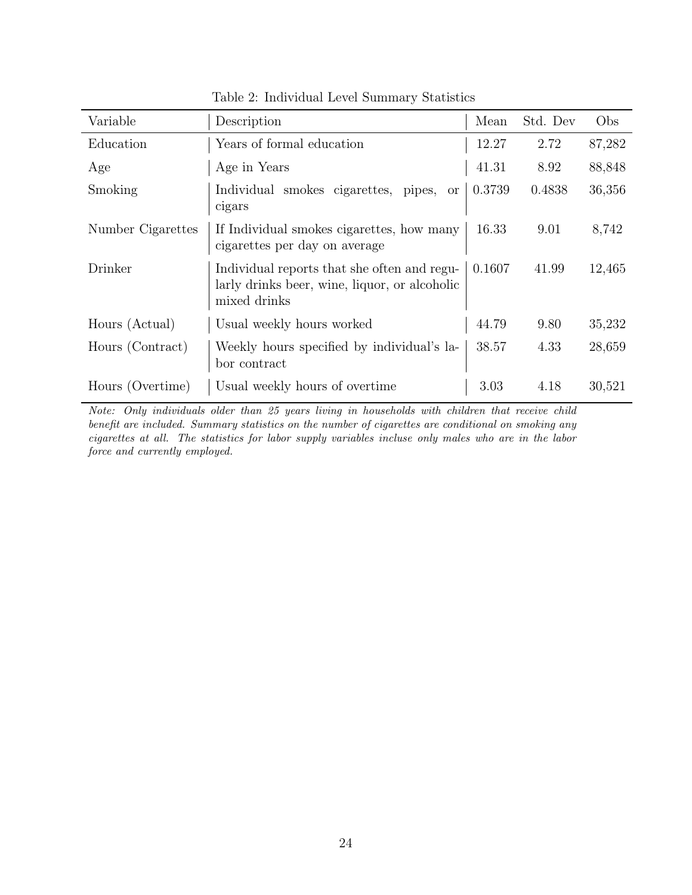| Variable          | Description                                                                                                  | Mean   | Std. Dev | Obs    |
|-------------------|--------------------------------------------------------------------------------------------------------------|--------|----------|--------|
| Education         | Years of formal education                                                                                    | 12.27  | 2.72     | 87,282 |
| Age               | Age in Years                                                                                                 | 41.31  | 8.92     | 88,848 |
| Smoking           | Individual smokes cigarettes,<br>pipes,<br><b>or</b><br>cigars                                               | 0.3739 | 0.4838   | 36,356 |
| Number Cigarettes | If Individual smokes cigarettes, how many<br>cigarettes per day on average                                   | 16.33  | 9.01     | 8,742  |
| Drinker           | Individual reports that she often and regu-<br>larly drinks beer, wine, liquor, or alcoholic<br>mixed drinks | 0.1607 | 41.99    | 12,465 |
| Hours (Actual)    | Usual weekly hours worked                                                                                    | 44.79  | 9.80     | 35,232 |
| Hours (Contract)  | Weekly hours specified by individual's la-<br>bor contract                                                   | 38.57  | 4.33     | 28,659 |
| Hours (Overtime)  | Usual weekly hours of overtime                                                                               | 3.03   | 4.18     | 30,521 |

Table 2: Individual Level Summary Statistics

Note: Only individuals older than 25 years living in households with children that receive child benefit are included. Summary statistics on the number of cigarettes are conditional on smoking any cigarettes at all. The statistics for labor supply variables incluse only males who are in the labor force and currently employed.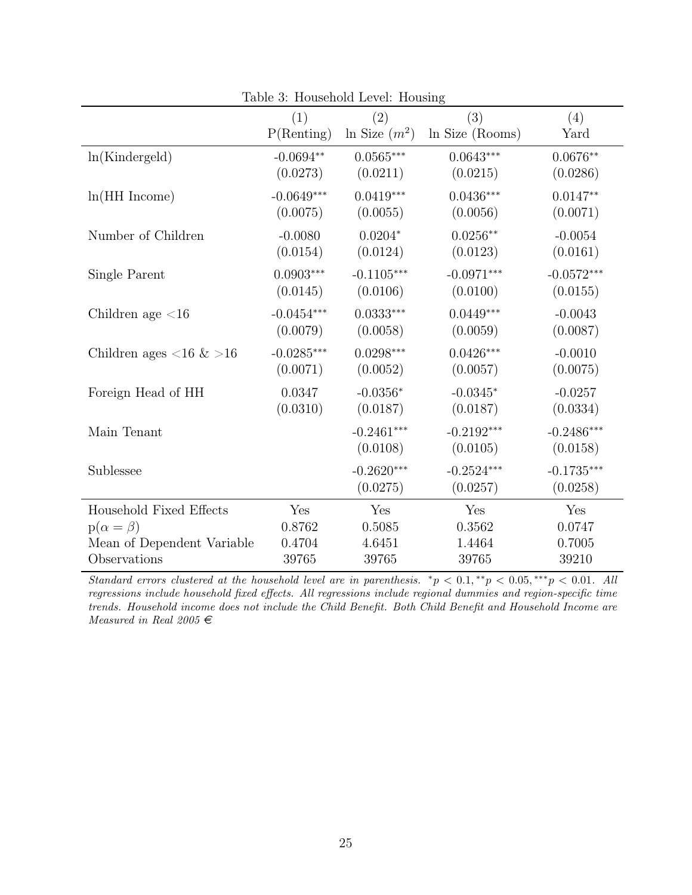|                                          | (1)          | (2)             | (3)             | (4)          |
|------------------------------------------|--------------|-----------------|-----------------|--------------|
|                                          | P(Renting)   | In Size $(m^2)$ | ln Size (Rooms) | Yard         |
| ln(Kindergeld)                           | $-0.0694**$  | $0.0565***$     | $0.0643***$     | $0.0676**$   |
|                                          | (0.0273)     | (0.0211)        | (0.0215)        | (0.0286)     |
| $ln(HH$ Income)                          | $-0.0649***$ | $0.0419***$     | $0.0436***$     | $0.0147**$   |
|                                          | (0.0075)     | (0.0055)        | (0.0056)        | (0.0071)     |
| Number of Children                       | $-0.0080$    | $0.0204*$       | $0.0256**$      | $-0.0054$    |
|                                          | (0.0154)     | (0.0124)        | (0.0123)        | (0.0161)     |
| Single Parent                            | $0.0903***$  | $-0.1105***$    | $-0.0971***$    | $-0.0572***$ |
|                                          | (0.0145)     | (0.0106)        | (0.0100)        | (0.0155)     |
| Children age $<$ 16                      | $-0.0454***$ | $0.0333***$     | $0.0449***$     | $-0.0043$    |
|                                          | (0.0079)     | (0.0058)        | (0.0059)        | (0.0087)     |
| Children ages $\langle 16 \& 16 \rangle$ | $-0.0285***$ | $0.0298***$     | $0.0426***$     | $-0.0010$    |
|                                          | (0.0071)     | (0.0052)        | (0.0057)        | (0.0075)     |
| Foreign Head of HH                       | 0.0347       | $-0.0356*$      | $-0.0345*$      | $-0.0257$    |
|                                          | (0.0310)     | (0.0187)        | (0.0187)        | (0.0334)     |
| Main Tenant                              |              | $-0.2461***$    | $-0.2192***$    | $-0.2486***$ |
|                                          |              | (0.0108)        | (0.0105)        | (0.0158)     |
| Sublessee                                |              | $-0.2620***$    | $-0.2524***$    | $-0.1735***$ |
|                                          |              | (0.0275)        | (0.0257)        | (0.0258)     |
| Household Fixed Effects                  | Yes          | Yes             | Yes             | Yes          |
| $p(\alpha = \beta)$                      | 0.8762       | 0.5085          | 0.3562          | 0.0747       |
| Mean of Dependent Variable               | 0.4704       | 4.6451          | 1.4464          | 0.7005       |
| Observations                             | 39765        | 39765           | 39765           | 39210        |

Table 3: Household Level: Housing

Standard errors clustered at the household level are in parenthesis.  ${}^*p < 0.1, {}^{**}p < 0.05, {}^{***}p < 0.01$ . All regressions include household fixed effects. All regressions include regional dummies and region-specific time trends. Household income does not include the Child Benefit. Both Child Benefit and Household Income are Measured in Real 2005  $\in$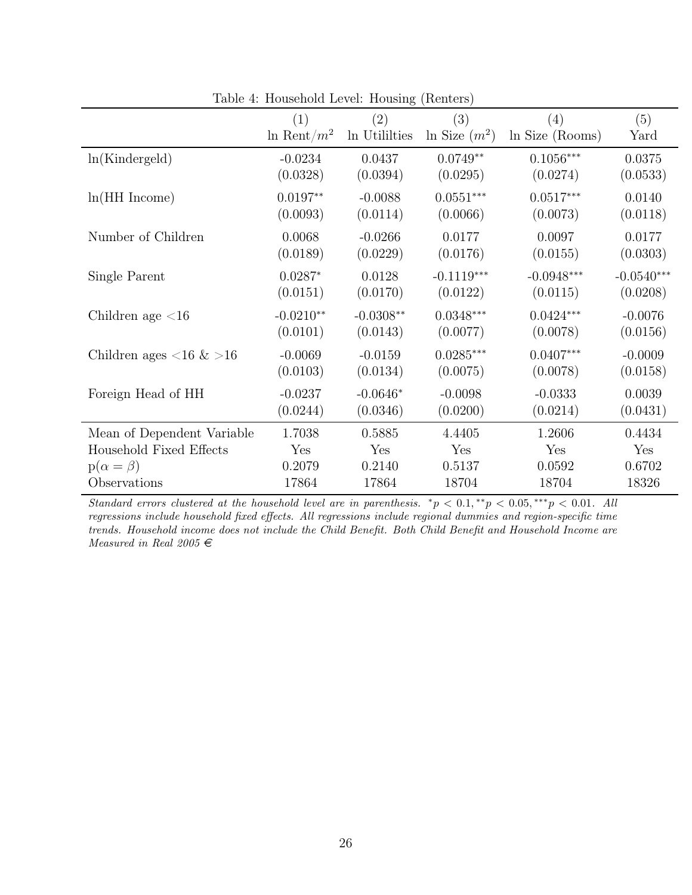|                                          | (1)               | $\left( 2\right)$ | (3)                | (4)             | (5)          |
|------------------------------------------|-------------------|-------------------|--------------------|-----------------|--------------|
|                                          | $\ln$ Rent/ $m^2$ | In Utililties     | $\ln$ Size $(m^2)$ | ln Size (Rooms) | Yard         |
| ln(Kindergeld)                           | $-0.0234$         | 0.0437            | $0.0749**$         | $0.1056***$     | 0.0375       |
|                                          | (0.0328)          | (0.0394)          | (0.0295)           | (0.0274)        | (0.0533)     |
| $ln(HH$ Income)                          | $0.0197**$        | $-0.0088$         | $0.0551***$        | $0.0517***$     | 0.0140       |
|                                          | (0.0093)          | (0.0114)          | (0.0066)           | (0.0073)        | (0.0118)     |
| Number of Children                       | 0.0068            | $-0.0266$         | 0.0177             | 0.0097          | 0.0177       |
|                                          | (0.0189)          | (0.0229)          | (0.0176)           | (0.0155)        | (0.0303)     |
| Single Parent                            | $0.0287*$         | 0.0128            | $-0.1119***$       | $-0.0948***$    | $-0.0540***$ |
|                                          | (0.0151)          | (0.0170)          | (0.0122)           | (0.0115)        | (0.0208)     |
| Children age $\langle 16$                | $-0.0210**$       | $-0.0308**$       | $0.0348***$        | $0.0424***$     | $-0.0076$    |
|                                          | (0.0101)          | (0.0143)          | (0.0077)           | (0.0078)        | (0.0156)     |
| Children ages $\langle 16 \& 16 \rangle$ | $-0.0069$         | $-0.0159$         | $0.0285***$        | $0.0407***$     | $-0.0009$    |
|                                          | (0.0103)          | (0.0134)          | (0.0075)           | (0.0078)        | (0.0158)     |
| Foreign Head of HH                       | $-0.0237$         | $-0.0646*$        | $-0.0098$          | $-0.0333$       | 0.0039       |
|                                          | (0.0244)          | (0.0346)          | (0.0200)           | (0.0214)        | (0.0431)     |
| Mean of Dependent Variable               | 1.7038            | 0.5885            | 4.4405             | 1.2606          | 0.4434       |
| Household Fixed Effects                  | Yes               | Yes               | Yes                | Yes             | Yes          |
| $p(\alpha = \beta)$                      | 0.2079            | 0.2140            | 0.5137             | 0.0592          | 0.6702       |
| Observations                             | 17864             | 17864             | 18704              | 18704           | 18326        |

Table 4: Household Level: Housing (Renters)

Standard errors clustered at the household level are in parenthesis.  ${}^*p < 0.1, {}^{**}p < 0.05, {}^{***}p < 0.01$ . All regressions include household fixed effects. All regressions include regional dummies and region-specific time trends. Household income does not include the Child Benefit. Both Child Benefit and Household Income are Measured in Real 2005  $\in$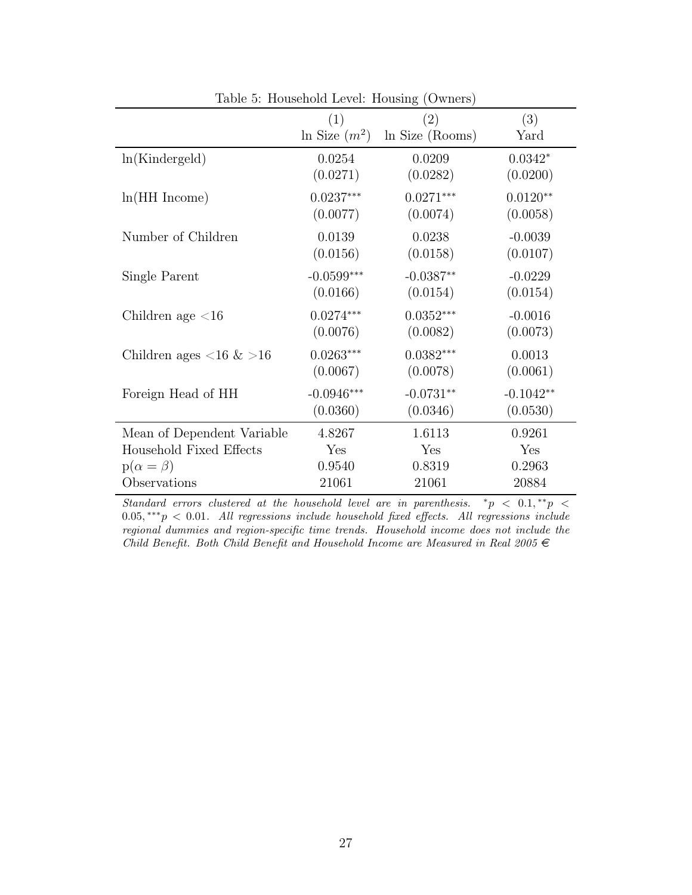|                                          | (1)                | (2)             | (3)         |
|------------------------------------------|--------------------|-----------------|-------------|
|                                          | $\ln$ Size $(m^2)$ | ln Size (Rooms) | Yard        |
| ln(Kindergeld)                           | 0.0254             | 0.0209          | $0.0342*$   |
|                                          | (0.0271)           | (0.0282)        | (0.0200)    |
| $ln(HH$ Income)                          | $0.0237***$        | $0.0271***$     | $0.0120**$  |
|                                          | (0.0077)           | (0.0074)        | (0.0058)    |
| Number of Children                       | 0.0139             | 0.0238          | $-0.0039$   |
|                                          | (0.0156)           | (0.0158)        | (0.0107)    |
| Single Parent                            | $-0.0599***$       | $-0.0387**$     | $-0.0229$   |
|                                          | (0.0166)           | (0.0154)        | (0.0154)    |
| Children age $<$ 16                      | $0.0274***$        | $0.0352***$     | $-0.0016$   |
|                                          | (0.0076)           | (0.0082)        | (0.0073)    |
| Children ages $\langle 16 \& 16 \rangle$ | $0.0263***$        | $0.0382***$     | 0.0013      |
|                                          | (0.0067)           | (0.0078)        | (0.0061)    |
| Foreign Head of HH                       | $-0.0946***$       | $-0.0731**$     | $-0.1042**$ |
|                                          | (0.0360)           | (0.0346)        | (0.0530)    |
| Mean of Dependent Variable               | 4.8267             | 1.6113          | 0.9261      |
| Household Fixed Effects                  | Yes                | Yes             | Yes         |
| $p(\alpha = \beta)$                      | 0.9540             | 0.8319          | 0.2963      |
| Observations                             | 21061              | 21061           | 20884       |

Table 5: Household Level: Housing (Owners)

 $Standard$  errors clustered at the household level are in parenthesis.  $^*p~<~0.1, ^{\ast\ast}p~<$ 0.05, \*\*\*p < 0.01. All regressions include household fixed effects. All regressions include regional dummies and region-specific time trends. Household income does not include the Child Benefit. Both Child Benefit and Household Income are Measured in Real 2005  $\in$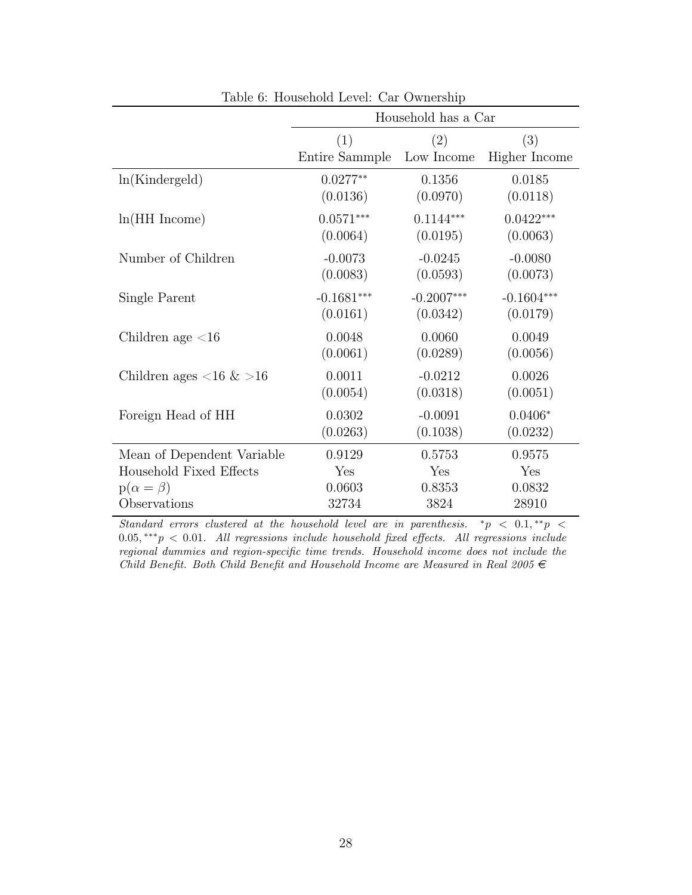| rabic 0. Household Level. Car Ownership  |                |                     |               |  |  |
|------------------------------------------|----------------|---------------------|---------------|--|--|
|                                          |                | Household has a Car |               |  |  |
|                                          | (1)            | (2)                 | (3)           |  |  |
|                                          | Entire Sammple | Low Income          | Higher Income |  |  |
| ln(Kindergeld)                           | $0.0277**$     | 0.1356              | 0.0185        |  |  |
|                                          | (0.0136)       | (0.0970)            | (0.0118)      |  |  |
| $ln(HH$ Income)                          | $0.0571***$    | $0.1144***$         | $0.0422***$   |  |  |
|                                          | (0.0064)       | (0.0195)            | (0.0063)      |  |  |
| Number of Children                       | $-0.0073$      | $-0.0245$           | $-0.0080$     |  |  |
|                                          | (0.0083)       | (0.0593)            | (0.0073)      |  |  |
| Single Parent                            | $-0.1681***$   | $-0.2007***$        | $-0.1604***$  |  |  |
|                                          | (0.0161)       | (0.0342)            | (0.0179)      |  |  |
| Children age $<$ 16                      | 0.0048         | 0.0060              | 0.0049        |  |  |
|                                          | (0.0061)       | (0.0289)            | (0.0056)      |  |  |
| Children ages $\langle 16 \& 16 \rangle$ | 0.0011         | $-0.0212$           | 0.0026        |  |  |
|                                          | (0.0054)       | (0.0318)            | (0.0051)      |  |  |
| Foreign Head of HH                       | 0.0302         | $-0.0091$           | $0.0406*$     |  |  |
|                                          | (0.0263)       | (0.1038)            | (0.0232)      |  |  |
| Mean of Dependent Variable               | 0.9129         | 0.5753              | 0.9575        |  |  |
| Household Fixed Effects                  | Yes            | Yes                 | Yes           |  |  |
| $p(\alpha = \beta)$                      | 0.0603         | 0.8353              | 0.0832        |  |  |
| Observations                             | 32734          | 3824                | 28910         |  |  |

Table 6: Household Level: Car Ownership

Standard errors clustered at the household level are in parenthesis.  $\sqrt[k]{p} < 0.1, \sqrt[k]{p} <$ 0.05, \*\*\* p < 0.01. All regressions include household fixed effects. All regressions include regional dummies and region-specific time trends. Household income does not include the Child Benefit. Both Child Benefit and Household Income are Measured in Real 2005  $\in$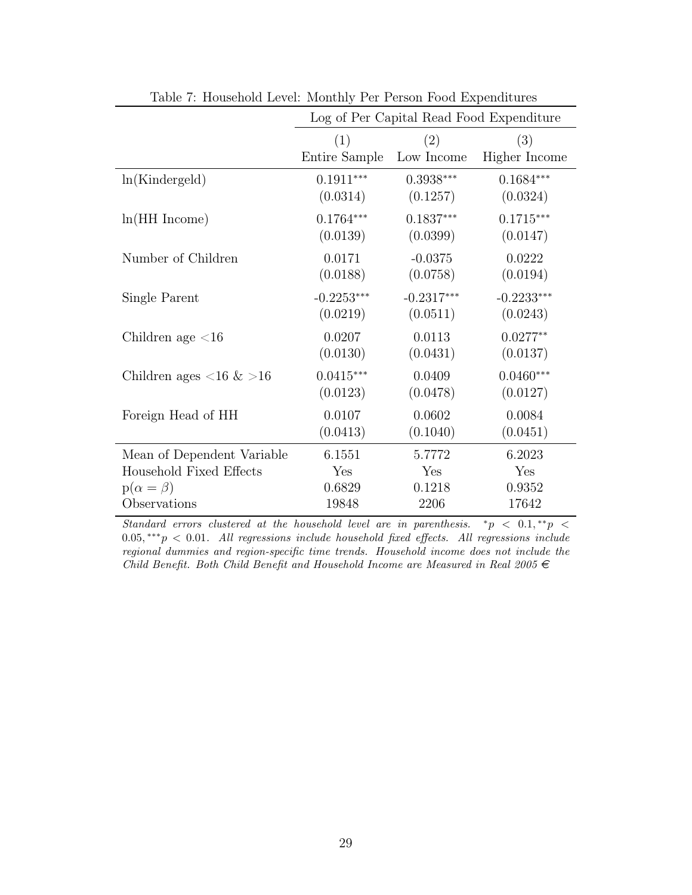|                                          | Log of Per Capital Read Food Expenditure |              |               |  |  |
|------------------------------------------|------------------------------------------|--------------|---------------|--|--|
|                                          | (1)                                      | (2)          | (3)           |  |  |
|                                          | Entire Sample                            | Low Income   | Higher Income |  |  |
| ln(Kindergeld)                           | $0.1911***$                              | $0.3938***$  | $0.1684***$   |  |  |
|                                          | (0.0314)                                 | (0.1257)     | (0.0324)      |  |  |
| $ln(HH$ Income)                          | $0.1764***$                              | $0.1837***$  | $0.1715***$   |  |  |
|                                          | (0.0139)                                 | (0.0399)     | (0.0147)      |  |  |
| Number of Children                       | 0.0171                                   | $-0.0375$    | 0.0222        |  |  |
|                                          | (0.0188)                                 | (0.0758)     | (0.0194)      |  |  |
| Single Parent                            | $-0.2253***$                             | $-0.2317***$ | $-0.2233***$  |  |  |
|                                          | (0.0219)                                 | (0.0511)     | (0.0243)      |  |  |
| Children age $<$ 16                      | 0.0207                                   | 0.0113       | $0.0277**$    |  |  |
|                                          | (0.0130)                                 | (0.0431)     | (0.0137)      |  |  |
| Children ages $\langle 16 \& 16 \rangle$ | $0.0415***$                              | 0.0409       | $0.0460***$   |  |  |
|                                          | (0.0123)                                 | (0.0478)     | (0.0127)      |  |  |
| Foreign Head of HH                       | 0.0107                                   | 0.0602       | 0.0084        |  |  |
|                                          | (0.0413)                                 | (0.1040)     | (0.0451)      |  |  |
| Mean of Dependent Variable               | 6.1551                                   | 5.7772       | 6.2023        |  |  |
| Household Fixed Effects                  | Yes                                      | Yes          | Yes           |  |  |
| $p(\alpha = \beta)$                      | 0.6829                                   | 0.1218       | 0.9352        |  |  |
| Observations                             | 19848                                    | 2206         | 17642         |  |  |

Table 7: Household Level: Monthly Per Person Food Expenditures

Standard errors clustered at the household level are in parenthesis.  $\sqrt[k]{p} < 0.1, \sqrt[k]{p} <$ 0.05, \*\*\* p < 0.01. All regressions include household fixed effects. All regressions include regional dummies and region-specific time trends. Household income does not include the Child Benefit. Both Child Benefit and Household Income are Measured in Real 2005  $\in$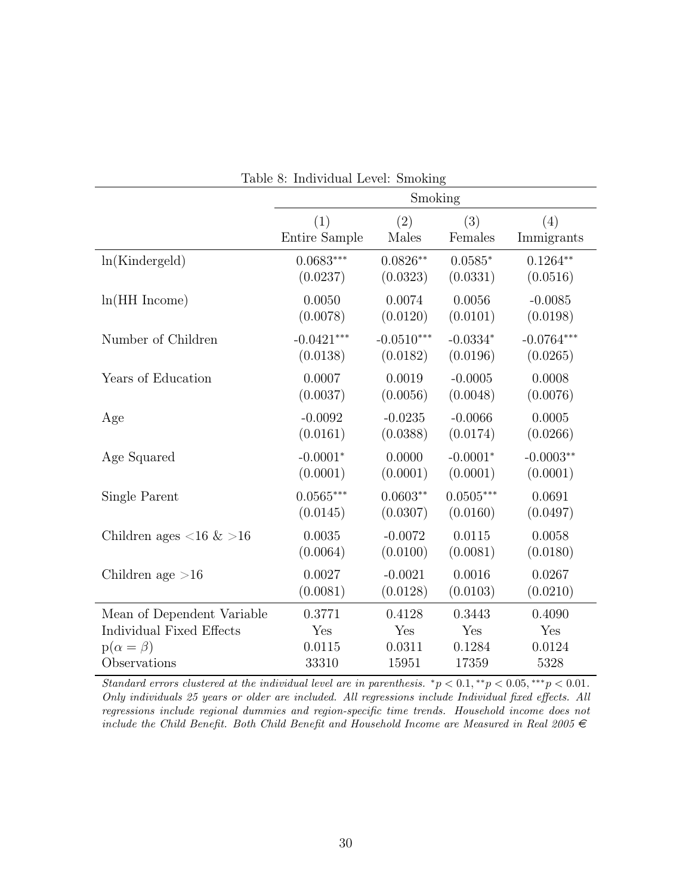| rable of murvidual Level. Smoking |               |              |             |              |  |
|-----------------------------------|---------------|--------------|-------------|--------------|--|
|                                   |               | Smoking      |             |              |  |
|                                   | (1)           | (2)          | (3)         | (4)          |  |
|                                   | Entire Sample | Males        | Females     | Immigrants   |  |
| ln(Kindergeld)                    | $0.0683***$   | $0.0826**$   | $0.0585*$   | $0.1264**$   |  |
|                                   | (0.0237)      | (0.0323)     | (0.0331)    | (0.0516)     |  |
| $ln(HH$ Income)                   | 0.0050        | 0.0074       | 0.0056      | $-0.0085$    |  |
|                                   | (0.0078)      | (0.0120)     | (0.0101)    | (0.0198)     |  |
| Number of Children                | $-0.0421***$  | $-0.0510***$ | $-0.0334*$  | $-0.0764***$ |  |
|                                   | (0.0138)      | (0.0182)     | (0.0196)    | (0.0265)     |  |
| Years of Education                | 0.0007        | 0.0019       | $-0.0005$   | 0.0008       |  |
|                                   | (0.0037)      | (0.0056)     | (0.0048)    | (0.0076)     |  |
| Age                               | $-0.0092$     | $-0.0235$    | $-0.0066$   | 0.0005       |  |
|                                   | (0.0161)      | (0.0388)     | (0.0174)    | (0.0266)     |  |
| Age Squared                       | $-0.0001*$    | 0.0000       | $-0.0001*$  | $-0.0003**$  |  |
|                                   | (0.0001)      | (0.0001)     | (0.0001)    | (0.0001)     |  |
| Single Parent                     | $0.0565***$   | $0.0603**$   | $0.0505***$ | 0.0691       |  |
|                                   | (0.0145)      | (0.0307)     | (0.0160)    | (0.0497)     |  |
| Children ages <16 $\&$ >16        | 0.0035        | $-0.0072$    | 0.0115      | 0.0058       |  |
|                                   | (0.0064)      | (0.0100)     | (0.0081)    | (0.0180)     |  |
| Children age $>16$                | 0.0027        | $-0.0021$    | 0.0016      | 0.0267       |  |
|                                   | (0.0081)      | (0.0128)     | (0.0103)    | (0.0210)     |  |
| Mean of Dependent Variable        | 0.3771        | 0.4128       | 0.3443      | 0.4090       |  |
| Individual Fixed Effects          | Yes           | Yes          | Yes         | Yes          |  |
| $p(\alpha = \beta)$               | 0.0115        | 0.0311       | 0.1284      | 0.0124       |  |
| Observations                      | 33310         | 15951        | 17359       | 5328         |  |

Table 8: Individual Level: Smoking

Standard errors clustered at the individual level are in parenthesis.  ${}^*p < 0.1, {}^{**}p < 0.05, {}^{***}p < 0.01$ . Only individuals 25 years or older are included. All regressions include Individual fixed effects. All regressions include regional dummies and region-specific time trends. Household income does not include the Child Benefit. Both Child Benefit and Household Income are Measured in Real 2005  $\in$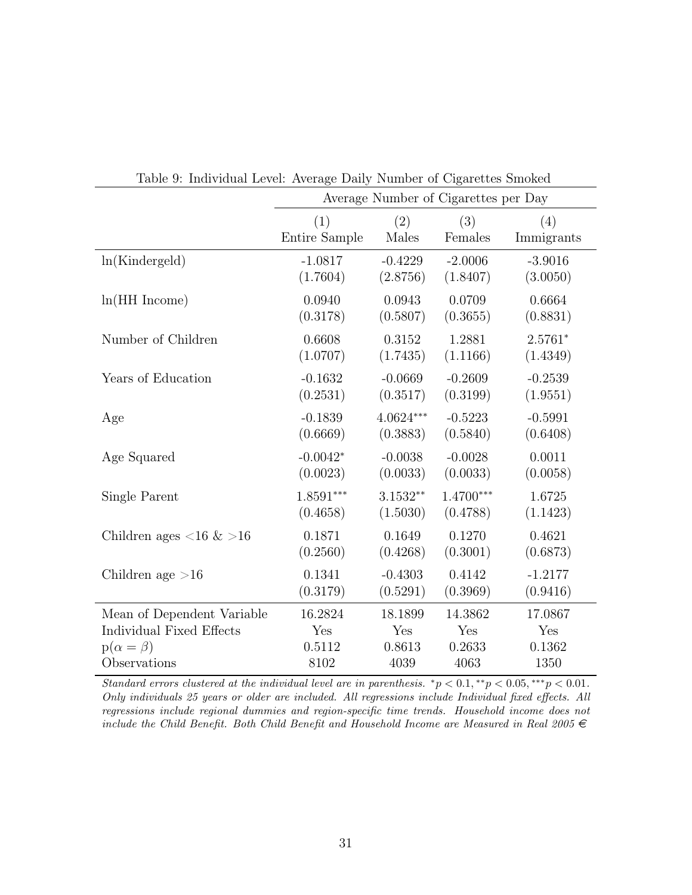|                                          | Average Number of Cigarettes per Day |             |             |            |  |  |
|------------------------------------------|--------------------------------------|-------------|-------------|------------|--|--|
|                                          | (1)                                  | (2)         | (3)         | (4)        |  |  |
|                                          | Entire Sample                        | Males       | Females     | Immigrants |  |  |
| ln(Kindergeld)                           | $-1.0817$                            | $-0.4229$   | $-2.0006$   | $-3.9016$  |  |  |
|                                          | (1.7604)                             | (2.8756)    | (1.8407)    | (3.0050)   |  |  |
| $ln(HH$ Income)                          | 0.0940                               | 0.0943      | 0.0709      | 0.6664     |  |  |
|                                          | (0.3178)                             | (0.5807)    | (0.3655)    | (0.8831)   |  |  |
| Number of Children                       | 0.6608                               | 0.3152      | 1.2881      | $2.5761*$  |  |  |
|                                          | (1.0707)                             | (1.7435)    | (1.1166)    | (1.4349)   |  |  |
| Years of Education                       | $-0.1632$                            | $-0.0669$   | $-0.2609$   | $-0.2539$  |  |  |
|                                          | (0.2531)                             | (0.3517)    | (0.3199)    | (1.9551)   |  |  |
| Age                                      | $-0.1839$                            | $4.0624***$ | $-0.5223$   | $-0.5991$  |  |  |
|                                          | (0.6669)                             | (0.3883)    | (0.5840)    | (0.6408)   |  |  |
| Age Squared                              | $-0.0042*$                           | $-0.0038$   | $-0.0028$   | 0.0011     |  |  |
|                                          | (0.0023)                             | (0.0033)    | (0.0033)    | (0.0058)   |  |  |
| Single Parent                            | $1.8591***$                          | $3.1532**$  | $1.4700***$ | 1.6725     |  |  |
|                                          | (0.4658)                             | (1.5030)    | (0.4788)    | (1.1423)   |  |  |
| Children ages $\langle 16 \& 16 \rangle$ | 0.1871                               | 0.1649      | 0.1270      | 0.4621     |  |  |
|                                          | (0.2560)                             | (0.4268)    | (0.3001)    | (0.6873)   |  |  |
| Children age $>16$                       | 0.1341                               | $-0.4303$   | 0.4142      | $-1.2177$  |  |  |
|                                          | (0.3179)                             | (0.5291)    | (0.3969)    | (0.9416)   |  |  |
| Mean of Dependent Variable               | 16.2824                              | 18.1899     | 14.3862     | 17.0867    |  |  |
| Individual Fixed Effects                 | Yes                                  | Yes         | Yes         | Yes        |  |  |
| $p(\alpha = \beta)$                      | 0.5112                               | 0.8613      | 0.2633      | 0.1362     |  |  |
| Observations                             | 8102                                 | 4039        | 4063        | 1350       |  |  |

Table 9: Individual Level: Average Daily Number of Cigarettes Smoked

Standard errors clustered at the individual level are in parenthesis.  ${}^*p < 0.1, {}^{**}p < 0.05, {}^{***}p < 0.01$ . Only individuals 25 years or older are included. All regressions include Individual fixed effects. All regressions include regional dummies and region-specific time trends. Household income does not include the Child Benefit. Both Child Benefit and Household Income are Measured in Real 2005  $\in$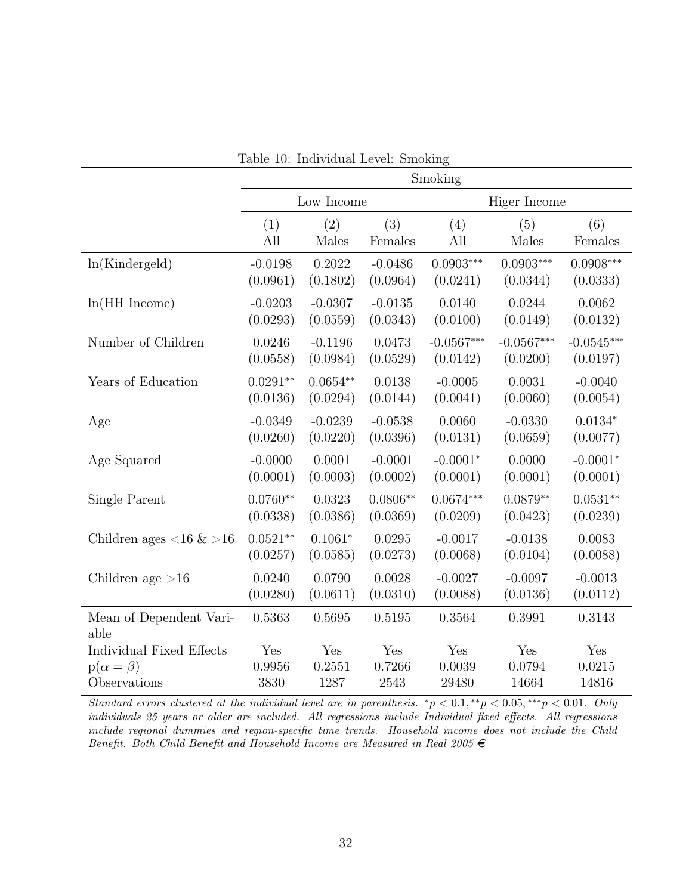|                                 | Lable IV. Individual Level. Shiloking |            |            |              |              |              |
|---------------------------------|---------------------------------------|------------|------------|--------------|--------------|--------------|
|                                 | Smoking                               |            |            |              |              |              |
|                                 | Low Income                            |            |            |              | Higer Income |              |
|                                 | (1)                                   | (2)        | (3)        | (4)          | (5)          | (6)          |
|                                 | All                                   | Males      | Females    | All          | Males        | Females      |
| ln(Kindergeld)                  | $-0.0198$                             | 0.2022     | $-0.0486$  | $0.0903***$  | $0.0903***$  | $0.0908***$  |
|                                 | (0.0961)                              | (0.1802)   | (0.0964)   | (0.0241)     | (0.0344)     | (0.0333)     |
| $ln(HH$ Income)                 | $-0.0203$                             | $-0.0307$  | $-0.0135$  | 0.0140       | 0.0244       | 0.0062       |
|                                 | (0.0293)                              | (0.0559)   | (0.0343)   | (0.0100)     | (0.0149)     | (0.0132)     |
| Number of Children              | 0.0246                                | $-0.1196$  | 0.0473     | $-0.0567***$ | $-0.0567***$ | $-0.0545***$ |
|                                 | (0.0558)                              | (0.0984)   | (0.0529)   | (0.0142)     | (0.0200)     | (0.0197)     |
| Years of Education              | $0.0291**$                            | $0.0654**$ | 0.0138     | $-0.0005$    | 0.0031       | $-0.0040$    |
|                                 | (0.0136)                              | (0.0294)   | (0.0144)   | (0.0041)     | (0.0060)     | (0.0054)     |
| Age                             | $-0.0349$                             | $-0.0239$  | $-0.0538$  | 0.0060       | $-0.0330$    | $0.0134*$    |
|                                 | (0.0260)                              | (0.0220)   | (0.0396)   | (0.0131)     | (0.0659)     | (0.0077)     |
| Age Squared                     | $-0.0000$                             | 0.0001     | $-0.0001$  | $-0.0001*$   | 0.0000       | $-0.0001*$   |
|                                 | (0.0001)                              | (0.0003)   | (0.0002)   | (0.0001)     | (0.0001)     | (0.0001)     |
| Single Parent                   | $0.0760**$                            | 0.0323     | $0.0806**$ | $0.0674***$  | $0.0879**$   | $0.0531**$   |
|                                 | (0.0338)                              | (0.0386)   | (0.0369)   | (0.0209)     | (0.0423)     | (0.0239)     |
| Children ages <16 $\&$ >16      | $0.0521**$                            | $0.1061*$  | 0.0295     | $-0.0017$    | $-0.0138$    | 0.0083       |
|                                 | (0.0257)                              | (0.0585)   | (0.0273)   | (0.0068)     | (0.0104)     | (0.0088)     |
| Children age $>16$              | 0.0240                                | 0.0790     | 0.0028     | $-0.0027$    | $-0.0097$    | $-0.0013$    |
|                                 | (0.0280)                              | (0.0611)   | (0.0310)   | (0.0088)     | (0.0136)     | (0.0112)     |
| Mean of Dependent Vari-<br>able | 0.5363                                | 0.5695     | 0.5195     | 0.3564       | 0.3991       | 0.3143       |
| Individual Fixed Effects        | Yes                                   | Yes        | Yes        | Yes          | Yes          | Yes          |
| $p(\alpha = \beta)$             | 0.9956                                | 0.2551     | 0.7266     | 0.0039       | 0.0794       | 0.0215       |
| Observations                    | 3830                                  | 1287       | 2543       | 29480        | 14664        | 14816        |

| Table 10: Individual Level: Smoking |
|-------------------------------------|
|-------------------------------------|

Standard errors clustered at the individual level are in parenthesis.  ${}^*p < 0.1, {}^{**}p < 0.05, {}^{***}p < 0.01$ . Only individuals 25 years or older are included. All regressions include Individual fixed effects. All regressions include regional dummies and region-specific time trends. Household income does not include the Child Benefit. Both Child Benefit and Household Income are Measured in Real 2005  $\in$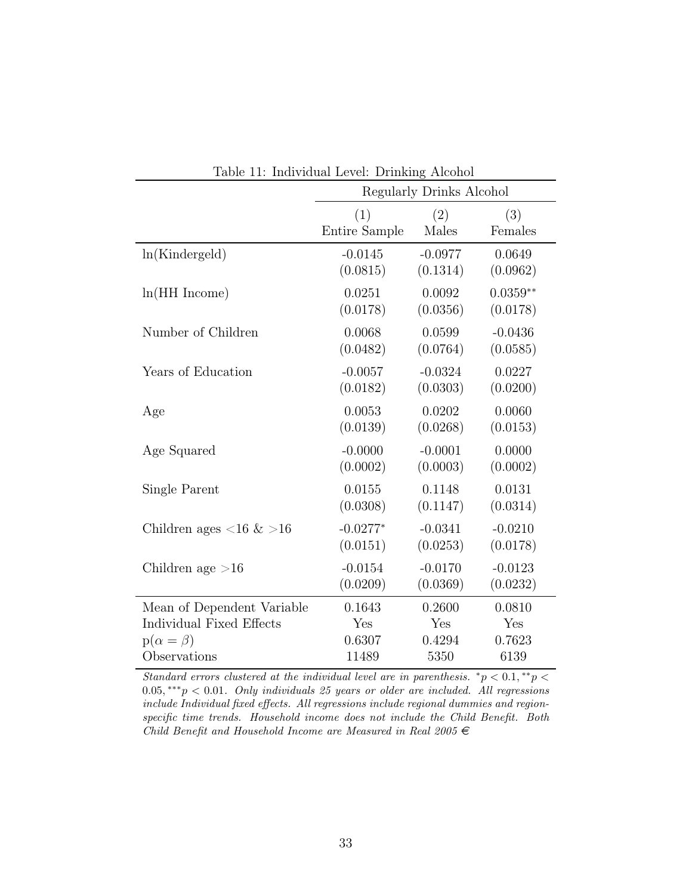|                                          | Lable II. Individual Level. Diffining Alcohol<br>Regularly Drinks Alcohol |           |            |  |  |  |
|------------------------------------------|---------------------------------------------------------------------------|-----------|------------|--|--|--|
|                                          |                                                                           |           |            |  |  |  |
|                                          | (1)                                                                       | (2)       | (3)        |  |  |  |
|                                          | Entire Sample                                                             | Males     | Females    |  |  |  |
| ln(Kindergeld)                           | $-0.0145$                                                                 | $-0.0977$ | 0.0649     |  |  |  |
|                                          | (0.0815)                                                                  | (0.1314)  | (0.0962)   |  |  |  |
| $ln(HH$ Income)                          | 0.0251                                                                    | 0.0092    | $0.0359**$ |  |  |  |
|                                          | (0.0178)                                                                  | (0.0356)  | (0.0178)   |  |  |  |
| Number of Children                       | 0.0068                                                                    | 0.0599    | $-0.0436$  |  |  |  |
|                                          | (0.0482)                                                                  | (0.0764)  | (0.0585)   |  |  |  |
| Years of Education                       | $-0.0057$                                                                 | $-0.0324$ | 0.0227     |  |  |  |
|                                          | (0.0182)                                                                  | (0.0303)  | (0.0200)   |  |  |  |
| Age                                      | 0.0053                                                                    | 0.0202    | 0.0060     |  |  |  |
|                                          | (0.0139)                                                                  | (0.0268)  | (0.0153)   |  |  |  |
| Age Squared                              | $-0.0000$                                                                 | $-0.0001$ | 0.0000     |  |  |  |
|                                          | (0.0002)                                                                  | (0.0003)  | (0.0002)   |  |  |  |
| Single Parent                            | 0.0155                                                                    | 0.1148    | 0.0131     |  |  |  |
|                                          | (0.0308)                                                                  | (0.1147)  | (0.0314)   |  |  |  |
| Children ages $\langle 16 \& 16 \rangle$ | $-0.0277*$                                                                | $-0.0341$ | $-0.0210$  |  |  |  |
|                                          | (0.0151)                                                                  | (0.0253)  | (0.0178)   |  |  |  |
| Children age $>16$                       | $-0.0154$                                                                 | $-0.0170$ | $-0.0123$  |  |  |  |
|                                          | (0.0209)                                                                  | (0.0369)  | (0.0232)   |  |  |  |
| Mean of Dependent Variable               | 0.1643                                                                    | 0.2600    | 0.0810     |  |  |  |
| Individual Fixed Effects                 | Yes                                                                       | Yes       | Yes        |  |  |  |
| $p(\alpha = \beta)$                      | 0.6307                                                                    | 0.4294    | 0.7623     |  |  |  |
| Observations                             | 11489                                                                     | 5350      | 6139       |  |  |  |

Table 11: Individual Level: Drinking Alcohol

Standard errors clustered at the individual level are in parenthesis.  ${}^*p < 0.1, {}^*{}^*p <$  $0.05,***p<0.01.$  Only individuals 25 years or older are included. All regressions include Individual fixed effects. All regressions include regional dummies and regionspecific time trends. Household income does not include the Child Benefit. Both Child Benefit and Household Income are Measured in Real 2005  $\in$